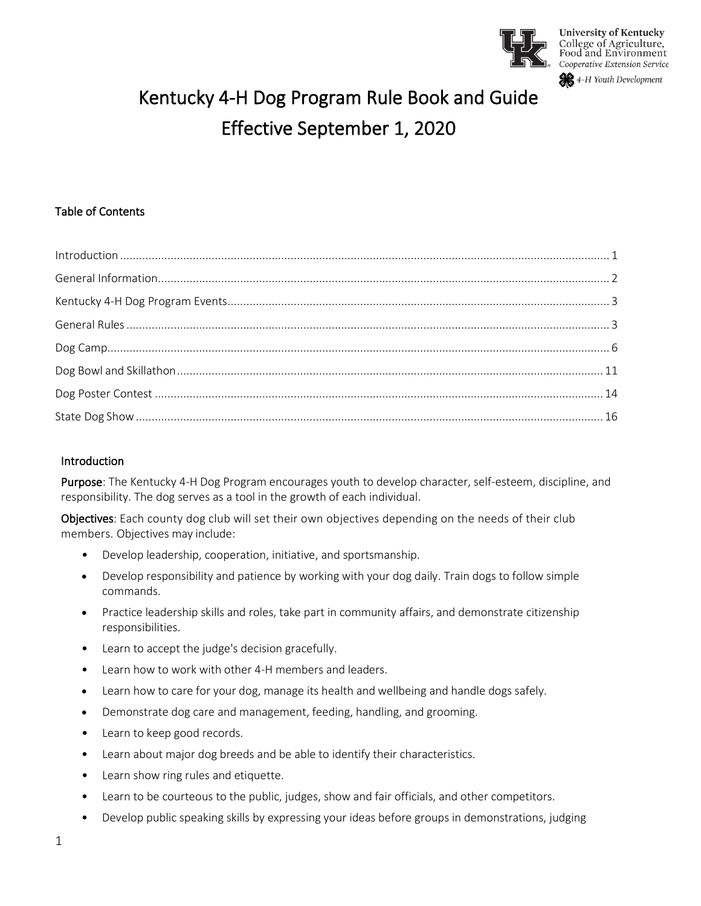

**University of Kentucky** College of Agriculture,<br>Food and Environment Cooperative Extension Service

4-H Youth Development

# Kentucky 4-H Dog Program Rule Book and Guide Effective September 1, 2020

# Table of Contents

| $\label{eq:interadd} \mbox{Introduction} \,\, \ldots \,\, \ldots \,\, \ldots \,\, \ldots \,\, \ldots \,\, \ldots \,\, \ldots \,\, \ldots \,\, \ldots \,\, \ldots \,\, \ldots \,\, \ldots \,\, \ldots \,\, \ldots \,\, \ldots \,\, \ldots \,\, \ldots \,\, \ldots \,\, \ldots \,\, \ldots \,\, \ldots \,\, \ldots \,\, \ldots \,\, \ldots \,\, \ldots \,\, \ldots \,\, \ldots \,\, \ldots \,\, \ldots \,\, \ldots \,\, \ldots \,\, \ldots \,\, \ldots \,\, \ldots \,\$ |  |
|-----------------------------------------------------------------------------------------------------------------------------------------------------------------------------------------------------------------------------------------------------------------------------------------------------------------------------------------------------------------------------------------------------------------------------------------------------------------------|--|
|                                                                                                                                                                                                                                                                                                                                                                                                                                                                       |  |
|                                                                                                                                                                                                                                                                                                                                                                                                                                                                       |  |
|                                                                                                                                                                                                                                                                                                                                                                                                                                                                       |  |
|                                                                                                                                                                                                                                                                                                                                                                                                                                                                       |  |
|                                                                                                                                                                                                                                                                                                                                                                                                                                                                       |  |
|                                                                                                                                                                                                                                                                                                                                                                                                                                                                       |  |
|                                                                                                                                                                                                                                                                                                                                                                                                                                                                       |  |

# <span id="page-0-0"></span>Introduction

Purpose: The Kentucky 4-H Dog Program encourages youth to develop character, self-esteem, discipline, and responsibility. The dog serves as a tool in the growth of each individual.

Objectives: Each county dog club will set their own objectives depending on the needs of their club members. Objectives may include:

- Develop leadership, cooperation, initiative, and sportsmanship.
- Develop responsibility and patience by working with your dog daily. Train dogs to follow simple commands.
- Practice leadership skills and roles, take part in community affairs, and demonstrate citizenship responsibilities.
- Learn to accept the judge's decision gracefully.
- Learn how to work with other 4-H members and leaders.
- Learn how to care for your dog, manage its health and wellbeing and handle dogs safely.
- Demonstrate dog care and management, feeding, handling, and grooming.
- Learn to keep good records.
- Learn about major dog breeds and be able to identify their characteristics.
- Learn show ring rules and etiquette.
- Learn to be courteous to the public, judges, show and fair officials, and other competitors.
- Develop public speaking skills by expressing your ideas before groups in demonstrations, judging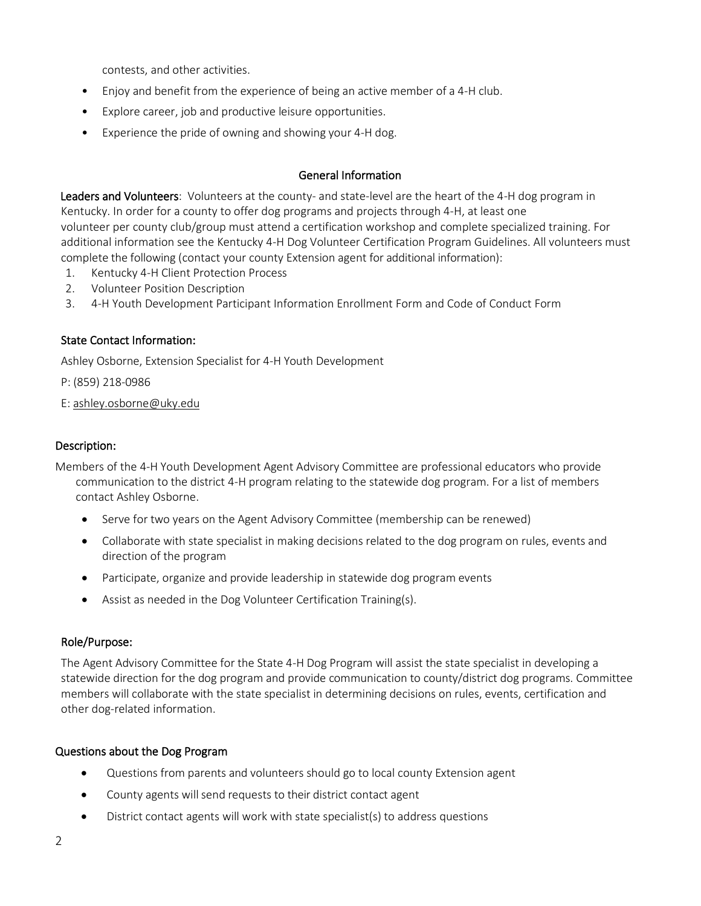contests, and other activities.

- Enjoy and benefit from the experience of being an active member of a 4-H club.
- Explore career, job and productive leisure opportunities.
- Experience the pride of owning and showing your 4-H dog.

# General Information

<span id="page-1-0"></span>Leaders and Volunteers: Volunteers at the county- and state-level are the heart of the 4-H dog program in Kentucky. In order for a county to offer dog programs and projects through 4-H, at least one volunteer per county club/group must attend a certification workshop and complete specialized training. For additional information see the Kentucky 4-H Dog Volunteer Certification Program Guidelines. All volunteers must complete the following (contact your county Extension agent for additional information):

- 1. Kentucky 4-H Client Protection Process
- 2. Volunteer Position Description
- 3. 4-H Youth Development Participant Information Enrollment Form and Code of Conduct Form

# State Contact Information:

Ashley Osborne, Extension Specialist for 4-H Youth Development

- P: (859) 218-0986
- E: [ashley.osborne@uky.edu](mailto:ashley.osborne@uky.edu)

# Description:

Members of the 4-H Youth Development Agent Advisory Committee are professional educators who provide communication to the district 4-H program relating to the statewide dog program. For a list of members contact Ashley Osborne.

- Serve for two years on the Agent Advisory Committee (membership can be renewed)
- Collaborate with state specialist in making decisions related to the dog program on rules, events and direction of the program
- Participate, organize and provide leadership in statewide dog program events
- Assist as needed in the Dog Volunteer Certification Training(s).

#### Role/Purpose:

The Agent Advisory Committee for the State 4-H Dog Program will assist the state specialist in developing a statewide direction for the dog program and provide communication to county/district dog programs. Committee members will collaborate with the state specialist in determining decisions on rules, events, certification and other dog-related information.

#### Questions about the Dog Program

- Questions from parents and volunteers should go to local county Extension agent
- County agents will send requests to their district contact agent
- District contact agents will work with state specialist(s) to address questions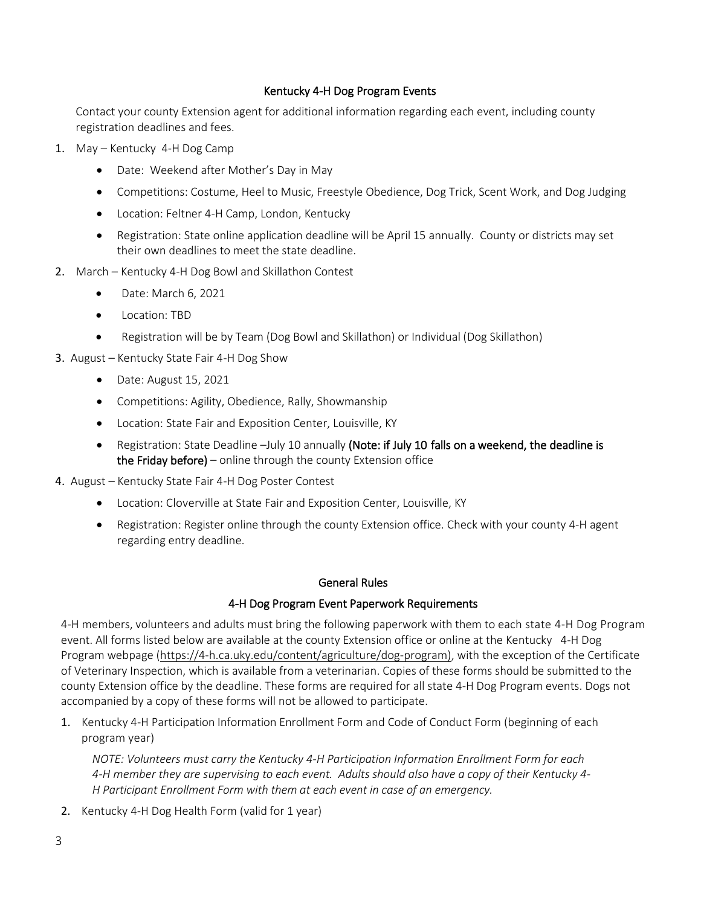# Kentucky 4-H Dog Program Events

<span id="page-2-0"></span>Contact your county Extension agent for additional information regarding each event, including county registration deadlines and fees.

- 1. May Kentucky 4-H Dog Camp
	- Date: Weekend after Mother's Day in May
	- Competitions: Costume, Heel to Music, Freestyle Obedience, Dog Trick, Scent Work, and Dog Judging
	- Location: Feltner 4-H Camp, London, Kentucky
	- Registration: State online application deadline will be April 15 annually. County or districts may set their own deadlines to meet the state deadline.
- 2. March Kentucky 4-H Dog Bowl and Skillathon Contest
	- Date: March 6, 2021
	- Location: TBD
	- Registration will be by Team (Dog Bowl and Skillathon) or Individual (Dog Skillathon)
- 3. August Kentucky State Fair 4-H Dog Show
	- Date: August 15, 2021
	- Competitions: Agility, Obedience, Rally, Showmanship
	- Location: State Fair and Exposition Center, Louisville, KY
	- Registration: State Deadline –July 10 annually (Note: if July 10 falls on a weekend, the deadline is the Friday before) – online through the county Extension office
- 4. August Kentucky State Fair 4-H Dog Poster Contest
	- Location: Cloverville at State Fair and Exposition Center, Louisville, KY
	- Registration: Register online through the county Extension office. Check with your county 4-H agent regarding entry deadline.

#### General Rules

#### 4-H Dog Program Event Paperwork Requirements

<span id="page-2-1"></span>4-H members, volunteers and adults must bring the following paperwork with them to each state 4-H Dog Program event. All forms listed below are available at the county Extension office or online at the Kentucky 4-H Dog Program webpage [\(https://4-h.ca.uky.edu/content/agriculture/dog-program\)](https://4-h.ca.uky.edu/content/agriculture/dog-program), with the exception of the Certificate of Veterinary Inspection, which is available from a veterinarian. Copies of these forms should be submitted to the county Extension office by the deadline. These forms are required for all state 4-H Dog Program events. Dogs not accompanied by a copy of these forms will not be allowed to participate.

1. Kentucky 4-H Participation Information Enrollment Form and Code of Conduct Form (beginning of each program year)

*NOTE: Volunteers must carry the Kentucky 4-H Participation Information Enrollment Form for each 4-H member they are supervising to each event. Adults should also have a copy of their Kentucky 4- H Participant Enrollment Form with them at each event in case of an emergency.*

2. Kentucky 4-H Dog Health Form (valid for 1 year)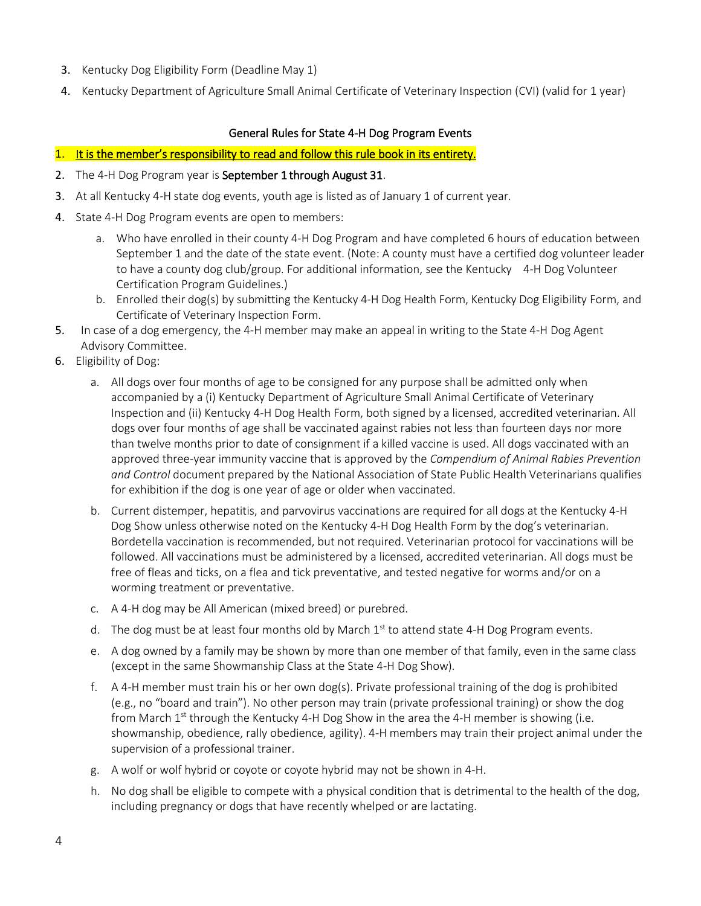- 3. Kentucky Dog Eligibility Form (Deadline May 1)
- 4. Kentucky Department of Agriculture Small Animal Certificate of Veterinary Inspection (CVI) (valid for 1 year)

# General Rules for State 4-H Dog Program Events

# 1. It is the member's responsibility to read and follow this rule book in its entirety.

- 2. The 4-H Dog Program year is September 1 through August 31.
- 3. At all Kentucky 4-H state dog events, youth age is listed as of January 1 of current year.
- 4. State 4-H Dog Program events are open to members:
	- a. Who have enrolled in their county 4-H Dog Program and have completed 6 hours of education between September 1 and the date of the state event. (Note: A county must have a certified dog volunteer leader to have a county dog club/group. For additional information, see the Kentucky 4-H Dog Volunteer Certification Program Guidelines.)
	- b. Enrolled their dog(s) by submitting the Kentucky 4-H Dog Health Form, Kentucky Dog Eligibility Form, and Certificate of Veterinary Inspection Form.
- 5. In case of a dog emergency, the 4-H member may make an appeal in writing to the State 4-H Dog Agent Advisory Committee.
- 6. Eligibility of Dog:
	- a. All dogs over four months of age to be consigned for any purpose shall be admitted only when accompanied by a (i) Kentucky Department of Agriculture Small Animal Certificate of Veterinary Inspection and (ii) Kentucky 4-H Dog Health Form, both signed by a licensed, accredited veterinarian. All dogs over four months of age shall be vaccinated against rabies not less than fourteen days nor more than twelve months prior to date of consignment if a killed vaccine is used. All dogs vaccinated with an approved three-year immunity vaccine that is approved by the *Compendium of Animal Rabies Prevention and Control* document prepared by the National Association of State Public Health Veterinarians qualifies for exhibition if the dog is one year of age or older when vaccinated.
	- b. Current distemper, hepatitis, and parvovirus vaccinations are required for all dogs at the Kentucky 4-H Dog Show unless otherwise noted on the Kentucky 4-H Dog Health Form by the dog's veterinarian. Bordetella vaccination is recommended, but not required. Veterinarian protocol for vaccinations will be followed. All vaccinations must be administered by a licensed, accredited veterinarian. All dogs must be free of fleas and ticks, on a flea and tick preventative, and tested negative for worms and/or on a worming treatment or preventative.
	- c. A 4-H dog may be All American (mixed breed) or purebred.
	- d. The dog must be at least four months old by March  $1<sup>st</sup>$  to attend state 4-H Dog Program events.
	- e. A dog owned by a family may be shown by more than one member of that family, even in the same class (except in the same Showmanship Class at the State 4-H Dog Show).
	- f. A 4-H member must train his or her own dog(s). Private professional training of the dog is prohibited (e.g., no "board and train"). No other person may train (private professional training) or show the dog from March  $1<sup>st</sup>$  through the Kentucky 4-H Dog Show in the area the 4-H member is showing (i.e. showmanship, obedience, rally obedience, agility). 4-H members may train their project animal under the supervision of a professional trainer.
	- g. A wolf or wolf hybrid or coyote or coyote hybrid may not be shown in 4-H.
	- h. No dog shall be eligible to compete with a physical condition that is detrimental to the health of the dog, including pregnancy or dogs that have recently whelped or are lactating.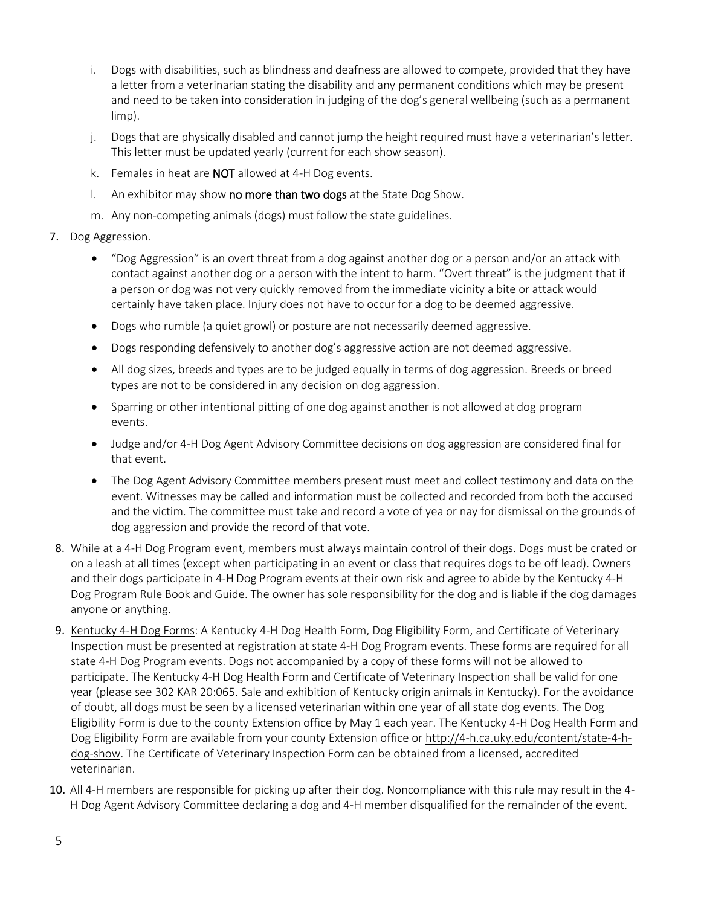- i. Dogs with disabilities, such as blindness and deafness are allowed to compete, provided that they have a letter from a veterinarian stating the disability and any permanent conditions which may be present and need to be taken into consideration in judging of the dog's general wellbeing (such as a permanent limp).
- j. Dogs that are physically disabled and cannot jump the height required must have a veterinarian's letter. This letter must be updated yearly (current for each show season).
- k. Females in heat are NOT allowed at 4-H Dog events.
- I. An exhibitor may show no more than two dogs at the State Dog Show.
- m. Any non-competing animals (dogs) must follow the state guidelines.
- 7. Dog Aggression.
	- "Dog Aggression" is an overt threat from a dog against another dog or a person and/or an attack with contact against another dog or a person with the intent to harm. "Overt threat" is the judgment that if a person or dog was not very quickly removed from the immediate vicinity a bite or attack would certainly have taken place. Injury does not have to occur for a dog to be deemed aggressive.
	- Dogs who rumble (a quiet growl) or posture are not necessarily deemed aggressive.
	- Dogs responding defensively to another dog's aggressive action are not deemed aggressive.
	- All dog sizes, breeds and types are to be judged equally in terms of dog aggression. Breeds or breed types are not to be considered in any decision on dog aggression.
	- Sparring or other intentional pitting of one dog against another is not allowed at dog program events.
	- Judge and/or 4-H Dog Agent Advisory Committee decisions on dog aggression are considered final for that event.
	- The Dog Agent Advisory Committee members present must meet and collect testimony and data on the event. Witnesses may be called and information must be collected and recorded from both the accused and the victim. The committee must take and record a vote of yea or nay for dismissal on the grounds of dog aggression and provide the record of that vote.
- 8. While at a 4-H Dog Program event, members must always maintain control of their dogs. Dogs must be crated or on a leash at all times (except when participating in an event or class that requires dogs to be off lead). Owners and their dogs participate in 4-H Dog Program events at their own risk and agree to abide by the Kentucky 4-H Dog Program Rule Book and Guide. The owner has sole responsibility for the dog and is liable if the dog damages anyone or anything.
- 9. Kentucky 4-H Dog Forms: A Kentucky 4-H Dog Health Form, Dog Eligibility Form, and Certificate of Veterinary Inspection must be presented at registration at state 4-H Dog Program events. These forms are required for all state 4-H Dog Program events. Dogs not accompanied by a copy of these forms will not be allowed to participate. The Kentucky 4-H Dog Health Form and Certificate of Veterinary Inspection shall be valid for one year (please see 302 KAR 20:065. Sale and exhibition of Kentucky origin animals in Kentucky). For the avoidance of doubt, all dogs must be seen by a licensed veterinarian within one year of all state dog events. The Dog Eligibility Form is due to the county Extension office by May 1 each year. The Kentucky 4-H Dog Health Form and Dog Eligibility Form are available from your county Extension office o[r http://4-h.ca.uky.edu/content/state-4-h](http://4-h.ca.uky.edu/content/state-4-h-dog-show)[dog-show.](http://4-h.ca.uky.edu/content/state-4-h-dog-show) The Certificate of Veterinary Inspection Form can be obtained from a licensed, accredited veterinarian.
- 10. All 4-H members are responsible for picking up after their dog. Noncompliance with this rule may result in the 4- H Dog Agent Advisory Committee declaring a dog and 4-H member disqualified for the remainder of the event.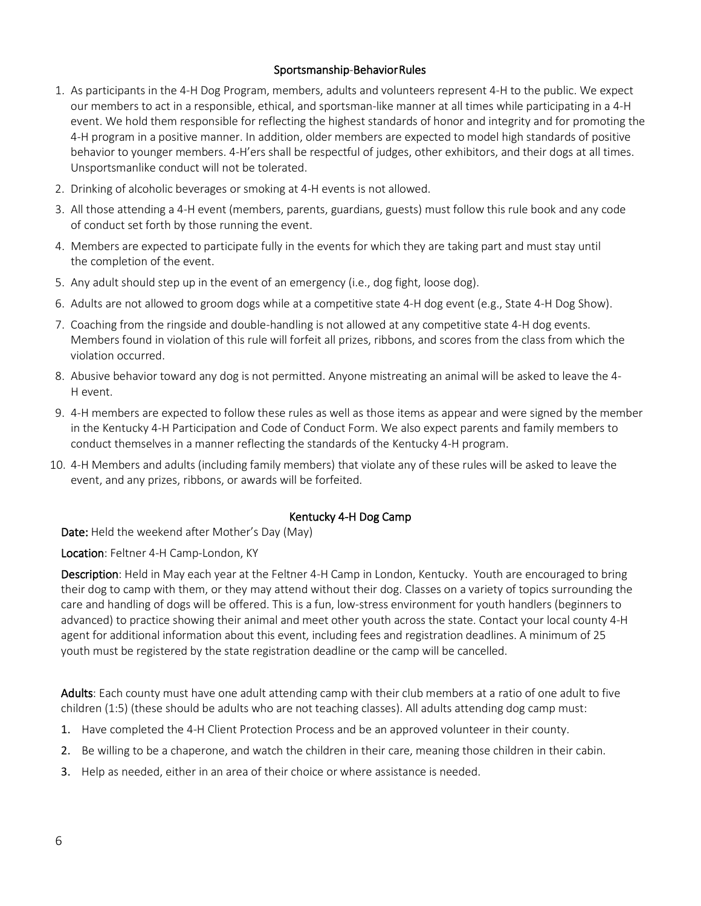# Sportsmanship-Behavior Rules

- 1. As participants in the 4-H Dog Program, members, adults and volunteers represent 4-H to the public. We expect our members to act in a responsible, ethical, and sportsman-like manner at all times while participating in a 4-H event. We hold them responsible for reflecting the highest standards of honor and integrity and for promoting the 4-H program in a positive manner. In addition, older members are expected to model high standards of positive behavior to younger members. 4-H'ers shall be respectful of judges, other exhibitors, and their dogs at all times. Unsportsmanlike conduct will not be tolerated.
- 2. Drinking of alcoholic beverages or smoking at 4-H events is not allowed.
- 3. All those attending a 4-H event (members, parents, guardians, guests) must follow this rule book and any code of conduct set forth by those running the event.
- 4. Members are expected to participate fully in the events for which they are taking part and must stay until the completion of the event.
- 5. Any adult should step up in the event of an emergency (i.e., dog fight, loose dog).
- 6. Adults are not allowed to groom dogs while at a competitive state 4-H dog event (e.g., State 4-H Dog Show).
- 7. Coaching from the ringside and double-handling is not allowed at any competitive state 4-H dog events. Members found in violation of this rule will forfeit all prizes, ribbons, and scores from the class from which the violation occurred.
- 8. Abusive behavior toward any dog is not permitted. Anyone mistreating an animal will be asked to leave the 4- H event.
- 9. 4-H members are expected to follow these rules as well as those items as appear and were signed by the member in the Kentucky 4-H Participation and Code of Conduct Form. We also expect parents and family members to conduct themselves in a manner reflecting the standards of the Kentucky 4-H program.
- 10. 4-H Members and adults (including family members) that violate any of these rules will be asked to leave the event, and any prizes, ribbons, or awards will be forfeited.

# Kentucky 4-H Dog Camp

<span id="page-5-0"></span>Date: Held the weekend after Mother's Day (May)

Location: Feltner 4-H Camp-London, KY

Description: Held in May each year at the Feltner 4-H Camp in London, Kentucky. Youth are encouraged to bring their dog to camp with them, or they may attend without their dog. Classes on a variety of topics surrounding the care and handling of dogs will be offered. This is a fun, low-stress environment for youth handlers (beginners to advanced) to practice showing their animal and meet other youth across the state. Contact your local county 4-H agent for additional information about this event, including fees and registration deadlines. A minimum of 25 youth must be registered by the state registration deadline or the camp will be cancelled.

Adults: Each county must have one adult attending camp with their club members at a ratio of one adult to five children (1:5) (these should be adults who are not teaching classes). All adults attending dog camp must:

- 1. Have completed the 4-H Client Protection Process and be an approved volunteer in their county.
- 2. Be willing to be a chaperone, and watch the children in their care, meaning those children in their cabin.
- 3. Help as needed, either in an area of their choice or where assistance is needed.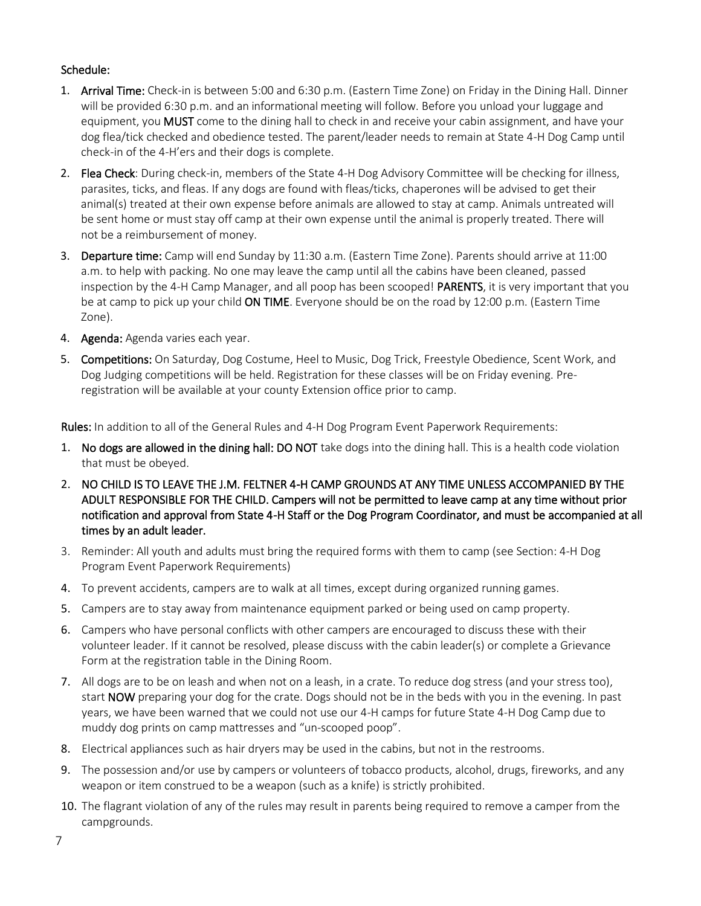# Schedule:

- 1. Arrival Time: Check-in is between 5:00 and 6:30 p.m. (Eastern Time Zone) on Friday in the Dining Hall. Dinner will be provided 6:30 p.m. and an informational meeting will follow. Before you unload your luggage and equipment, you **MUST** come to the dining hall to check in and receive your cabin assignment, and have your dog flea/tick checked and obedience tested. The parent/leader needs to remain at State 4-H Dog Camp until check-in of the 4-H'ers and their dogs is complete.
- 2. Flea Check: During check-in, members of the State 4-H Dog Advisory Committee will be checking for illness, parasites, ticks, and fleas. If any dogs are found with fleas/ticks, chaperones will be advised to get their animal(s) treated at their own expense before animals are allowed to stay at camp. Animals untreated will be sent home or must stay off camp at their own expense until the animal is properly treated. There will not be a reimbursement of money.
- 3. Departure time: Camp will end Sunday by 11:30 a.m. (Eastern Time Zone). Parents should arrive at 11:00 a.m. to help with packing. No one may leave the camp until all the cabins have been cleaned, passed inspection by the 4-H Camp Manager, and all poop has been scooped! **PARENTS**, it is very important that you be at camp to pick up your child ON TIME. Everyone should be on the road by 12:00 p.m. (Eastern Time Zone).
- 4. Agenda: Agenda varies each year.
- 5. Competitions: On Saturday, Dog Costume, Heel to Music, Dog Trick, Freestyle Obedience, Scent Work, and Dog Judging competitions will be held. Registration for these classes will be on Friday evening. Preregistration will be available at your county Extension office prior to camp.

Rules: In addition to all of the General Rules and 4-H Dog Program Event Paperwork Requirements:

- 1. No dogs are allowed in the dining hall: DO NOT take dogs into the dining hall. This is a health code violation that must be obeyed.
- 2. NO CHILD IS TO LEAVE THE J.M. FELTNER 4-H CAMP GROUNDS AT ANY TIME UNLESS ACCOMPANIED BY THE ADULT RESPONSIBLE FOR THE CHILD. Campers will not be permitted to leave camp at any time without prior notification and approval from State 4-H Staff or the Dog Program Coordinator, and must be accompanied at all times by an adult leader.
- 3. Reminder: All youth and adults must bring the required forms with them to camp (see Section: 4-H Dog Program Event Paperwork Requirements)
- 4. To prevent accidents, campers are to walk at all times, except during organized running games.
- 5. Campers are to stay away from maintenance equipment parked or being used on camp property.
- 6. Campers who have personal conflicts with other campers are encouraged to discuss these with their volunteer leader. If it cannot be resolved, please discuss with the cabin leader(s) or complete a Grievance Form at the registration table in the Dining Room.
- 7. All dogs are to be on leash and when not on a leash, in a crate. To reduce dog stress (and your stress too), start NOW preparing your dog for the crate. Dogs should not be in the beds with you in the evening. In past years, we have been warned that we could not use our 4-H camps for future State 4-H Dog Camp due to muddy dog prints on camp mattresses and "un-scooped poop".
- 8. Electrical appliances such as hair dryers may be used in the cabins, but not in the restrooms.
- 9. The possession and/or use by campers or volunteers of tobacco products, alcohol, drugs, fireworks, and any weapon or item construed to be a weapon (such as a knife) is strictly prohibited.
- 10. The flagrant violation of any of the rules may result in parents being required to remove a camper from the campgrounds.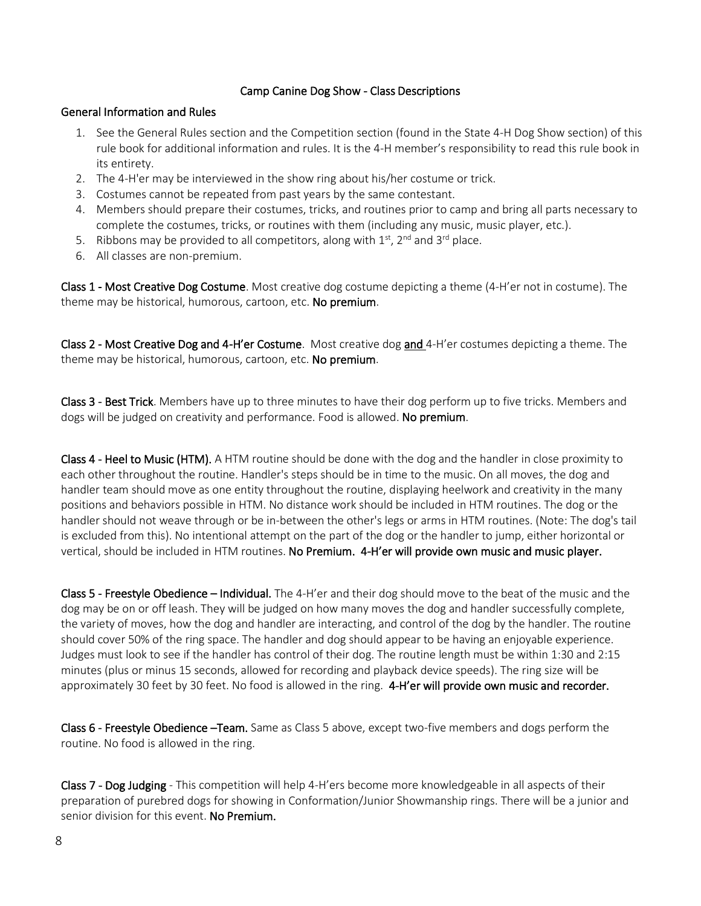#### Camp Canine Dog Show - Class Descriptions

#### General Information and Rules

- 1. See the General Rules section and the Competition section (found in the State 4-H Dog Show section) of this rule book for additional information and rules. It is the 4-H member's responsibility to read this rule book in its entirety.
- 2. The 4-H'er may be interviewed in the show ring about his/her costume or trick.
- 3. Costumes cannot be repeated from past years by the same contestant.
- 4. Members should prepare their costumes, tricks, and routines prior to camp and bring all parts necessary to complete the costumes, tricks, or routines with them (including any music, music player, etc.).
- 5. Ribbons may be provided to all competitors, along with  $1<sup>st</sup>$ ,  $2<sup>nd</sup>$  and  $3<sup>rd</sup>$  place.
- 6. All classes are non-premium.

Class 1 - Most Creative Dog Costume. Most creative dog costume depicting a theme (4-H'er not in costume). The theme may be historical, humorous, cartoon, etc. No premium.

Class 2 - Most Creative Dog and 4-H'er Costume. Most creative dog and 4-H'er costumes depicting a theme. The theme may be historical, humorous, cartoon, etc. No premium.

Class 3 - Best Trick. Members have up to three minutes to have their dog perform up to five tricks. Members and dogs will be judged on creativity and performance. Food is allowed. No premium.

Class 4 - Heel to Music (HTM). A HTM routine should be done with the dog and the handler in close proximity to each other throughout the routine. Handler's steps should be in time to the music. On all moves, the dog and handler team should move as one entity throughout the routine, displaying heelwork and creativity in the many positions and behaviors possible in HTM. No distance work should be included in HTM routines. The dog or the handler should not weave through or be in-between the other's legs or arms in HTM routines. (Note: The dog's tail is excluded from this). No intentional attempt on the part of the dog or the handler to jump, either horizontal or vertical, should be included in HTM routines. No Premium. 4-H'er will provide own music and music player.

Class 5 - Freestyle Obedience – Individual. The 4-H'er and their dog should move to the beat of the music and the dog may be on or off leash. They will be judged on how many moves the dog and handler successfully complete, the variety of moves, how the dog and handler are interacting, and control of the dog by the handler. The routine should cover 50% of the ring space. The handler and dog should appear to be having an enjoyable experience. Judges must look to see if the handler has control of their dog. The routine length must be within 1:30 and 2:15 minutes (plus or minus 15 seconds, allowed for recording and playback device speeds). The ring size will be approximately 30 feet by 30 feet. No food is allowed in the ring. 4-H'er will provide own music and recorder.

Class 6 - Freestyle Obedience –Team. Same as Class 5 above, except two-five members and dogs perform the routine. No food is allowed in the ring.

Class 7 - Dog Judging - This competition will help 4-H'ers become more knowledgeable in all aspects of their preparation of purebred dogs for showing in Conformation/Junior Showmanship rings. There will be a junior and senior division for this event. No Premium.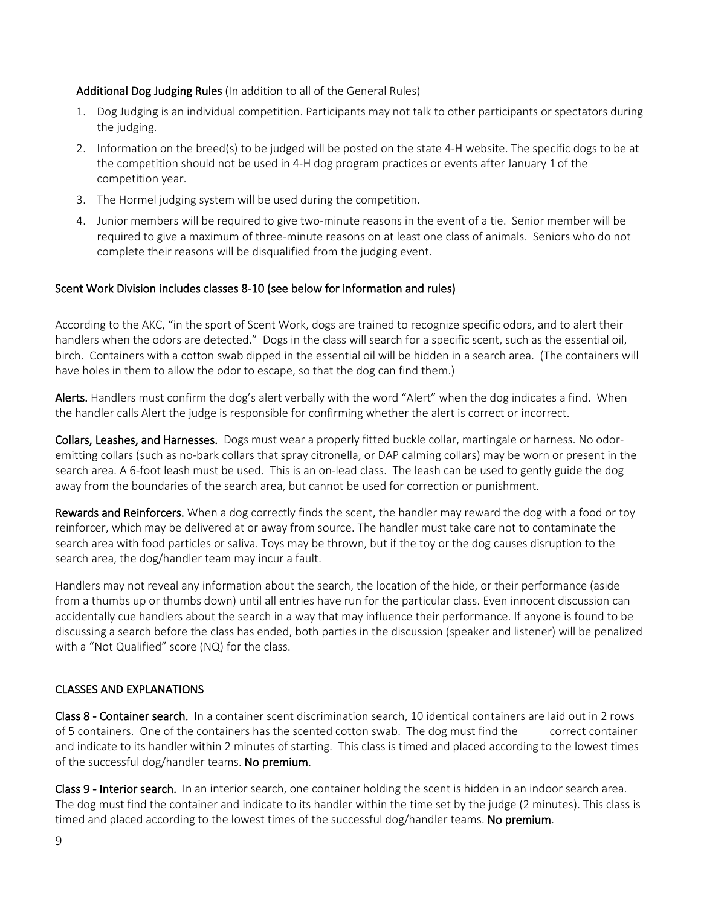#### Additional Dog Judging Rules (In addition to all of the General Rules)

- 1. Dog Judging is an individual competition. Participants may not talk to other participants or spectators during the judging.
- 2. Information on the breed(s) to be judged will be posted on the state 4-H website. The specific dogs to be at the competition should not be used in 4-H dog program practices or events after January 1 of the competition year.
- 3. The Hormel judging system will be used during the competition.
- 4. Junior members will be required to give two-minute reasons in the event of a tie. Senior member will be required to give a maximum of three-minute reasons on at least one class of animals. Seniors who do not complete their reasons will be disqualified from the judging event.

#### Scent Work Division includes classes 8-10 (see below for information and rules)

According to the AKC, "in the sport of Scent Work, dogs are trained to recognize specific odors, and to alert their handlers when the odors are detected." Dogs in the class will search for a specific scent, such as the essential oil, birch. Containers with a cotton swab dipped in the essential oil will be hidden in a search area. (The containers will have holes in them to allow the odor to escape, so that the dog can find them.)

Alerts. Handlers must confirm the dog's alert verbally with the word "Alert" when the dog indicates a find. When the handler calls Alert the judge is responsible for confirming whether the alert is correct or incorrect.

Collars, Leashes, and Harnesses. Dogs must wear a properly fitted buckle collar, martingale or harness. No odoremitting collars (such as no-bark collars that spray citronella, or DAP calming collars) may be worn or present in the search area. A 6-foot leash must be used. This is an on-lead class. The leash can be used to gently guide the dog away from the boundaries of the search area, but cannot be used for correction or punishment.

Rewards and Reinforcers. When a dog correctly finds the scent, the handler may reward the dog with a food or toy reinforcer, which may be delivered at or away from source. The handler must take care not to contaminate the search area with food particles or saliva. Toys may be thrown, but if the toy or the dog causes disruption to the search area, the dog/handler team may incur a fault.

Handlers may not reveal any information about the search, the location of the hide, or their performance (aside from a thumbs up or thumbs down) until all entries have run for the particular class. Even innocent discussion can accidentally cue handlers about the search in a way that may influence their performance. If anyone is found to be discussing a search before the class has ended, both parties in the discussion (speaker and listener) will be penalized with a "Not Qualified" score (NQ) for the class.

# CLASSES AND EXPLANATIONS

Class 8 - Container search. In a container scent discrimination search, 10 identical containers are laid out in 2 rows of 5 containers. One of the containers has the scented cotton swab. The dog must find the correct container and indicate to its handler within 2 minutes of starting. This class is timed and placed according to the lowest times of the successful dog/handler teams. No premium.

Class 9 - Interior search. In an interior search, one container holding the scent is hidden in an indoor search area. The dog must find the container and indicate to its handler within the time set by the judge (2 minutes). This class is timed and placed according to the lowest times of the successful dog/handler teams. No premium.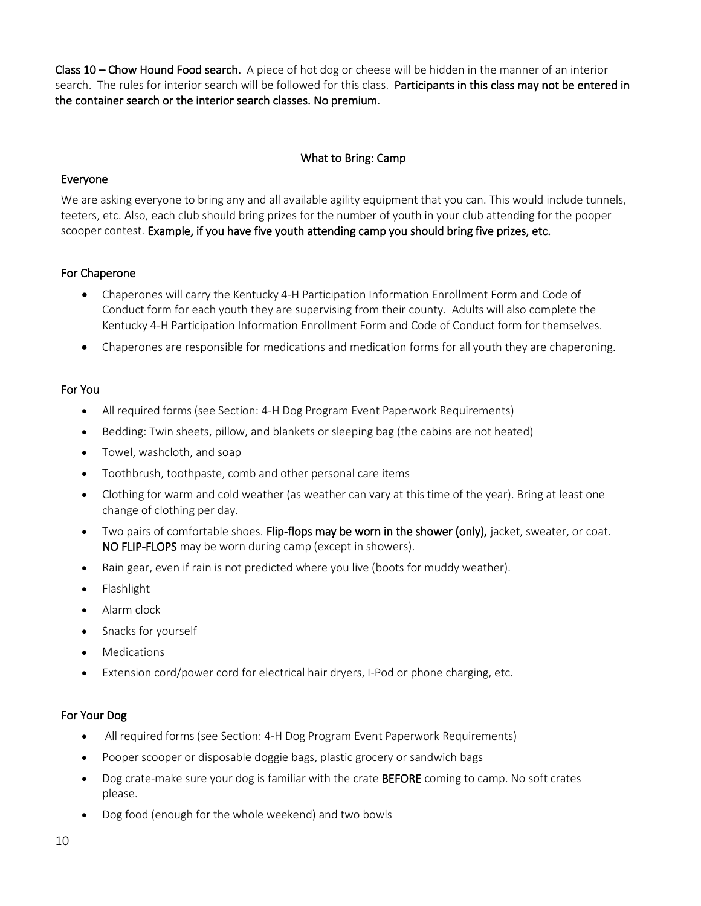Class 10 – Chow Hound Food search. A piece of hot dog or cheese will be hidden in the manner of an interior search. The rules for interior search will be followed for this class. Participants in this class may not be entered in the container search or the interior search classes. No premium.

# What to Bring: Camp

#### Everyone

We are asking everyone to bring any and all available agility equipment that you can. This would include tunnels, teeters, etc. Also, each club should bring prizes for the number of youth in your club attending for the pooper scooper contest. Example, if you have five youth attending camp you should bring five prizes, etc.

#### For Chaperone

- Chaperones will carry the Kentucky 4-H Participation Information Enrollment Form and Code of Conduct form for each youth they are supervising from their county. Adults will also complete the Kentucky 4-H Participation Information Enrollment Form and Code of Conduct form for themselves.
- Chaperones are responsible for medications and medication forms for all youth they are chaperoning.

#### For You

- All required forms (see Section: 4-H Dog Program Event Paperwork Requirements)
- Bedding: Twin sheets, pillow, and blankets or sleeping bag (the cabins are not heated)
- Towel, washcloth, and soap
- Toothbrush, toothpaste, comb and other personal care items
- Clothing for warm and cold weather (as weather can vary at this time of the year). Bring at least one change of clothing per day.
- Two pairs of comfortable shoes. Flip-flops may be worn in the shower (only), jacket, sweater, or coat. NO FLIP-FLOPS may be worn during camp (except in showers).
- Rain gear, even if rain is not predicted where you live (boots for muddy weather).
- Flashlight
- Alarm clock
- Snacks for yourself
- **Medications**
- Extension cord/power cord for electrical hair dryers, I-Pod or phone charging, etc.

#### For Your Dog

- All required forms (see Section: 4-H Dog Program Event Paperwork Requirements)
- Pooper scooper or disposable doggie bags, plastic grocery or sandwich bags
- Dog crate-make sure your dog is familiar with the crate **BEFORE** coming to camp. No soft crates please.
- Dog food (enough for the whole weekend) and two bowls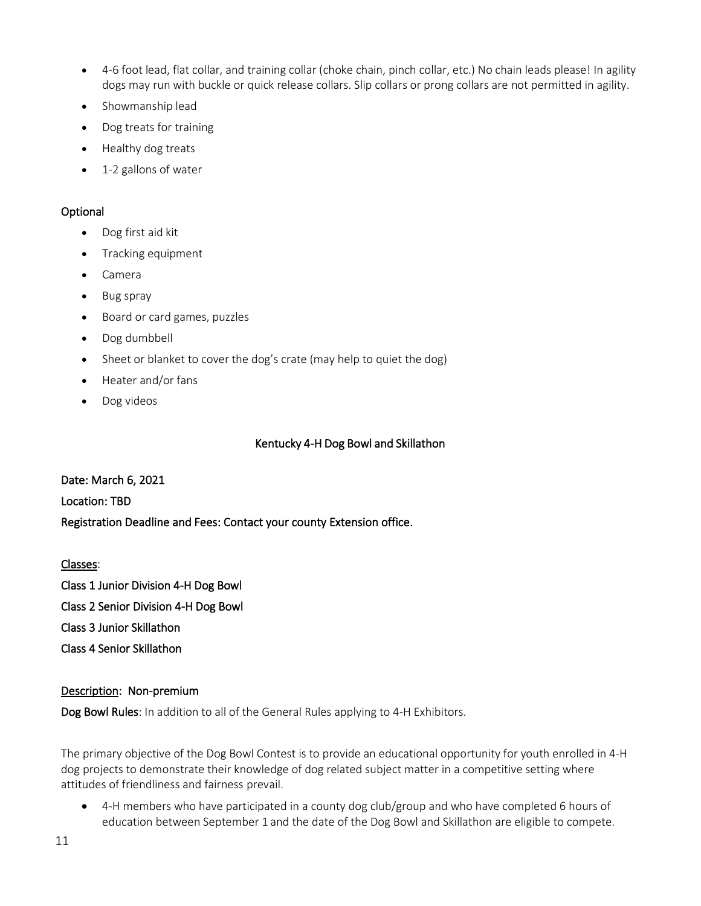- 4-6 foot lead, flat collar, and training collar (choke chain, pinch collar, etc.) No chain leads please! In agility dogs may run with buckle or quick release collars. Slip collars or prong collars are not permitted in agility.
- Showmanship lead
- Dog treats for training
- Healthy dog treats
- 1-2 gallons of water

#### Optional

- Dog first aid kit
- Tracking equipment
- Camera
- Bug spray
- Board or card games, puzzles
- Dog dumbbell
- Sheet or blanket to cover the dog's crate (may help to quiet the dog)
- Heater and/or fans
- Dog videos

#### Kentucky 4-H Dog Bowl and Skillathon

<span id="page-10-0"></span>Date: March 6, 2021 Location: TBD Registration Deadline and Fees: Contact your county Extension office.

Classes: Class 1 Junior Division 4-H Dog Bowl Class 2 Senior Division 4-H Dog Bowl Class 3 Junior Skillathon

Class 4 Senior Skillathon

# Description: Non-premium

Dog Bowl Rules: In addition to all of the General Rules applying to 4-H Exhibitors.

The primary objective of the Dog Bowl Contest is to provide an educational opportunity for youth enrolled in 4-H dog projects to demonstrate their knowledge of dog related subject matter in a competitive setting where attitudes of friendliness and fairness prevail.

• 4-H members who have participated in a county dog club/group and who have completed 6 hours of education between September 1 and the date of the Dog Bowl and Skillathon are eligible to compete.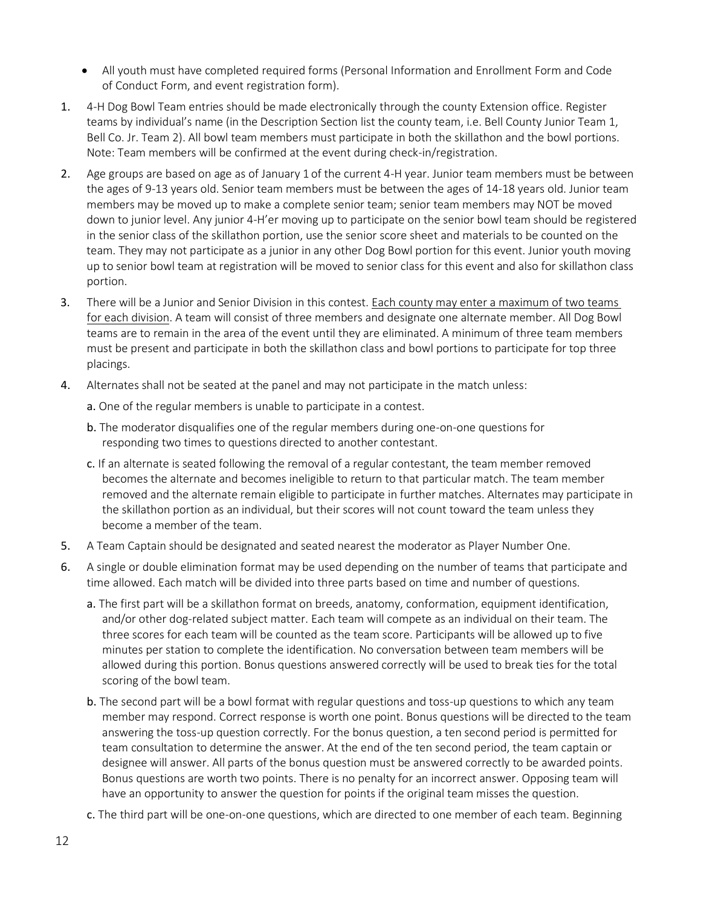- All youth must have completed required forms (Personal Information and Enrollment Form and Code of Conduct Form, and event registration form).
- 1. 4-H Dog Bowl Team entries should be made electronically through the county Extension office. Register teams by individual's name (in the Description Section list the county team, i.e. Bell County Junior Team 1, Bell Co. Jr. Team 2). All bowl team members must participate in both the skillathon and the bowl portions. Note: Team members will be confirmed at the event during check-in/registration.
- 2. Age groups are based on age as of January 1 of the current 4-H year. Junior team members must be between the ages of 9-13 years old. Senior team members must be between the ages of 14-18 years old. Junior team members may be moved up to make a complete senior team; senior team members may NOT be moved down to junior level. Any junior 4-H'er moving up to participate on the senior bowl team should be registered in the senior class of the skillathon portion, use the senior score sheet and materials to be counted on the team. They may not participate as a junior in any other Dog Bowl portion for this event. Junior youth moving up to senior bowl team at registration will be moved to senior class for this event and also for skillathon class portion.
- 3. There will be a Junior and Senior Division in this contest. Each county may enter a maximum of two teams for each division. A team will consist of three members and designate one alternate member. All Dog Bowl teams are to remain in the area of the event until they are eliminated. A minimum of three team members must be present and participate in both the skillathon class and bowl portions to participate for top three placings.
- 4. Alternates shall not be seated at the panel and may not participate in the match unless:
	- a. One of the regular members is unable to participate in a contest.
	- b. The moderator disqualifies one of the regular members during one-on-one questions for responding two times to questions directed to another contestant.
	- c. If an alternate is seated following the removal of a regular contestant, the team member removed becomes the alternate and becomes ineligible to return to that particular match. The team member removed and the alternate remain eligible to participate in further matches. Alternates may participate in the skillathon portion as an individual, but their scores will not count toward the team unless they become a member of the team.
- 5. A Team Captain should be designated and seated nearest the moderator as Player Number One.
- 6. A single or double elimination format may be used depending on the number of teams that participate and time allowed. Each match will be divided into three parts based on time and number of questions.
	- a. The first part will be a skillathon format on breeds, anatomy, conformation, equipment identification, and/or other dog-related subject matter. Each team will compete as an individual on their team. The three scores for each team will be counted as the team score. Participants will be allowed up to five minutes per station to complete the identification. No conversation between team members will be allowed during this portion. Bonus questions answered correctly will be used to break ties for the total scoring of the bowl team.
	- b. The second part will be a bowl format with regular questions and toss-up questions to which any team member may respond. Correct response is worth one point. Bonus questions will be directed to the team answering the toss-up question correctly. For the bonus question, a ten second period is permitted for team consultation to determine the answer. At the end of the ten second period, the team captain or designee will answer. All parts of the bonus question must be answered correctly to be awarded points. Bonus questions are worth two points. There is no penalty for an incorrect answer. Opposing team will have an opportunity to answer the question for points if the original team misses the question.
	- c. The third part will be one-on-one questions, which are directed to one member of each team. Beginning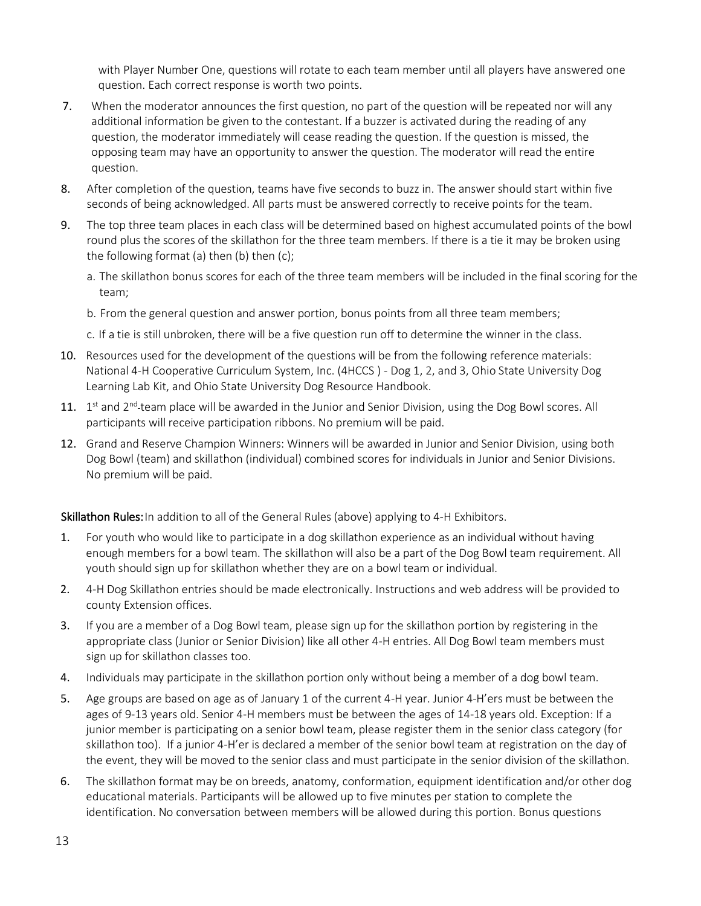with Player Number One, questions will rotate to each team member until all players have answered one question. Each correct response is worth two points.

- 7. When the moderator announces the first question, no part of the question will be repeated nor will any additional information be given to the contestant. If a buzzer is activated during the reading of any question, the moderator immediately will cease reading the question. If the question is missed, the opposing team may have an opportunity to answer the question. The moderator will read the entire question.
- 8. After completion of the question, teams have five seconds to buzz in. The answer should start within five seconds of being acknowledged. All parts must be answered correctly to receive points for the team.
- 9. The top three team places in each class will be determined based on highest accumulated points of the bowl round plus the scores of the skillathon for the three team members. If there is a tie it may be broken using the following format (a) then (b) then (c);
	- a. The skillathon bonus scores for each of the three team members will be included in the final scoring for the team;
	- b. From the general question and answer portion, bonus points from all three team members;
	- c. If a tie is still unbroken, there will be a five question run off to determine the winner in the class.
- 10. Resources used for the development of the questions will be from the following reference materials: National 4-H Cooperative Curriculum System, Inc. (4HCCS ) - Dog 1, 2, and 3, Ohio State University Dog Learning Lab Kit, and Ohio State University Dog Resource Handbook.
- 11.  $1^{st}$  and  $2^{nd}$  team place will be awarded in the Junior and Senior Division, using the Dog Bowl scores. All participants will receive participation ribbons. No premium will be paid.
- 12. Grand and Reserve Champion Winners: Winners will be awarded in Junior and Senior Division, using both Dog Bowl (team) and skillathon (individual) combined scores for individuals in Junior and Senior Divisions. No premium will be paid.

Skillathon Rules: In addition to all of the General Rules (above) applying to 4-H Exhibitors.

- 1. For youth who would like to participate in a dog skillathon experience as an individual without having enough members for a bowl team. The skillathon will also be a part of the Dog Bowl team requirement. All youth should sign up for skillathon whether they are on a bowl team or individual.
- 2. 4-H Dog Skillathon entries should be made electronically. Instructions and web address will be provided to county Extension offices.
- 3. If you are a member of a Dog Bowl team, please sign up for the skillathon portion by registering in the appropriate class (Junior or Senior Division) like all other 4-H entries. All Dog Bowl team members must sign up for skillathon classes too.
- 4. Individuals may participate in the skillathon portion only without being a member of a dog bowl team.
- 5. Age groups are based on age as of January 1 of the current 4-H year. Junior 4-H'ers must be between the ages of 9-13 years old. Senior 4-H members must be between the ages of 14-18 years old. Exception: If a junior member is participating on a senior bowl team, please register them in the senior class category (for skillathon too). If a junior 4-H'er is declared a member of the senior bowl team at registration on the day of the event, they will be moved to the senior class and must participate in the senior division of the skillathon.
- 6. The skillathon format may be on breeds, anatomy, conformation, equipment identification and/or other dog educational materials. Participants will be allowed up to five minutes per station to complete the identification. No conversation between members will be allowed during this portion. Bonus questions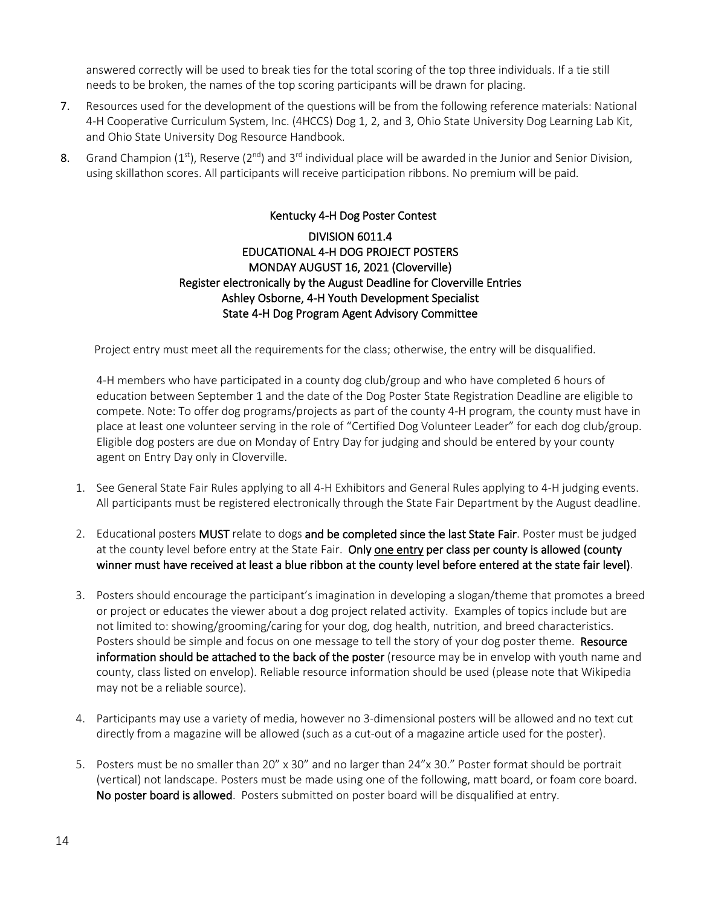answered correctly will be used to break ties for the total scoring of the top three individuals. If a tie still needs to be broken, the names of the top scoring participants will be drawn for placing.

- 7. Resources used for the development of the questions will be from the following reference materials: National 4-H Cooperative Curriculum System, Inc. (4HCCS) Dog 1, 2, and 3, Ohio State University Dog Learning Lab Kit, and Ohio State University Dog Resource Handbook.
- <span id="page-13-0"></span>8. Grand Champion ( $1^{st}$ ), Reserve ( $2^{nd}$ ) and  $3^{rd}$  individual place will be awarded in the Junior and Senior Division, using skillathon scores. All participants will receive participation ribbons. No premium will be paid.

# Kentucky 4-H Dog Poster Contest DIVISION 6011.4 EDUCATIONAL 4-H DOG PROJECT POSTERS MONDAY AUGUST 16, 2021 (Cloverville) Register electronically by the August Deadline for Cloverville Entries Ashley Osborne, 4-H Youth Development Specialist State 4-H Dog Program Agent Advisory Committee

Project entry must meet all the requirements for the class; otherwise, the entry will be disqualified.

4-H members who have participated in a county dog club/group and who have completed 6 hours of education between September 1 and the date of the Dog Poster State Registration Deadline are eligible to compete. Note: To offer dog programs/projects as part of the county 4-H program, the county must have in place at least one volunteer serving in the role of "Certified Dog Volunteer Leader" for each dog club/group. Eligible dog posters are due on Monday of Entry Day for judging and should be entered by your county agent on Entry Day only in Cloverville.

- 1. See General State Fair Rules applying to all 4-H Exhibitors and General Rules applying to 4-H judging events. All participants must be registered electronically through the State Fair Department by the August deadline.
- 2. Educational posters MUST relate to dogs and be completed since the last State Fair. Poster must be judged at the county level before entry at the State Fair. Only one entry per class per county is allowed (county winner must have received at least a blue ribbon at the county level before entered at the state fair level).
- 3. Posters should encourage the participant's imagination in developing a slogan/theme that promotes a breed or project or educates the viewer about a dog project related activity. Examples of topics include but are not limited to: showing/grooming/caring for your dog, dog health, nutrition, and breed characteristics. Posters should be simple and focus on one message to tell the story of your dog poster theme. Resource information should be attached to the back of the poster (resource may be in envelop with youth name and county, class listed on envelop). Reliable resource information should be used (please note that Wikipedia may not be a reliable source).
- 4. Participants may use a variety of media, however no 3-dimensional posters will be allowed and no text cut directly from a magazine will be allowed (such as a cut-out of a magazine article used for the poster).
- 5. Posters must be no smaller than 20" x 30" and no larger than 24"x 30." Poster format should be portrait (vertical) not landscape. Posters must be made using one of the following, matt board, or foam core board. No poster board is allowed. Posters submitted on poster board will be disqualified at entry.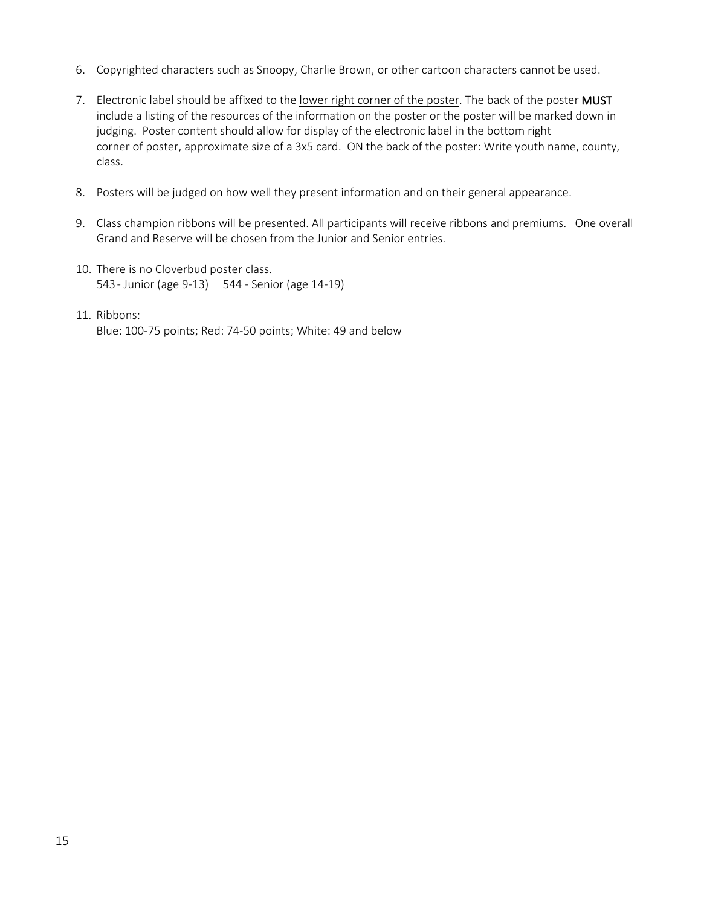- 6. Copyrighted characters such as Snoopy, Charlie Brown, or other cartoon characters cannot be used.
- 7. Electronic label should be affixed to the lower right corner of the poster. The back of the poster MUST include a listing of the resources of the information on the poster or the poster will be marked down in judging. Poster content should allow for display of the electronic label in the bottom right corner of poster, approximate size of a 3x5 card. ON the back of the poster: Write youth name, county, class.
- 8. Posters will be judged on how well they present information and on their general appearance.
- 9. Class champion ribbons will be presented. All participants will receive ribbons and premiums. One overall Grand and Reserve will be chosen from the Junior and Senior entries.
- 10. There is no Cloverbud poster class. 543- Junior (age 9-13) 544 - Senior (age 14-19)
- 11. Ribbons: Blue: 100-75 points; Red: 74-50 points; White: 49 and below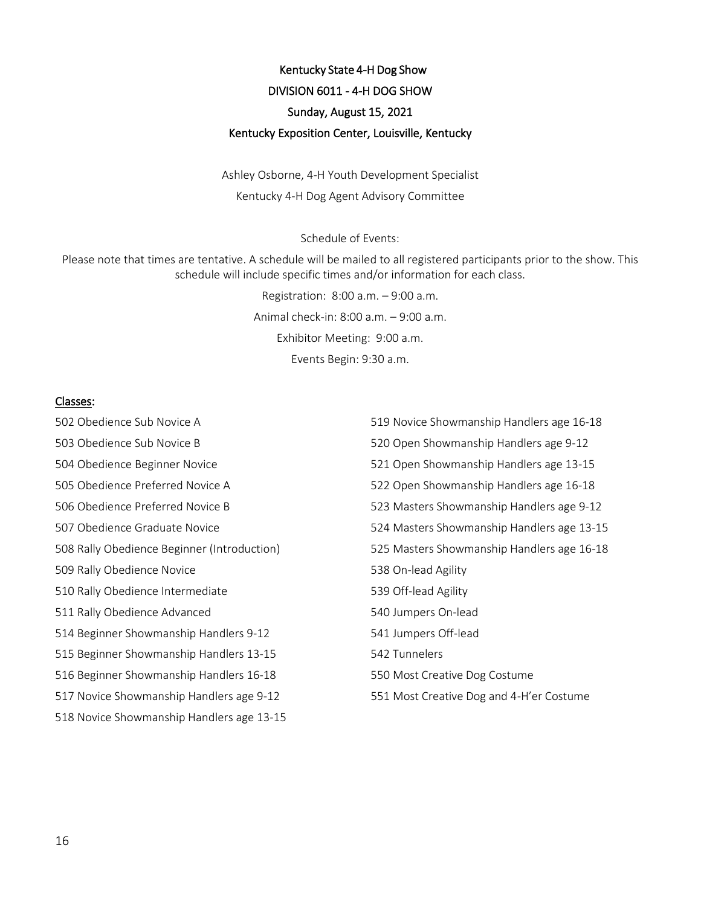# <span id="page-15-0"></span>Kentucky State 4-H Dog Show DIVISION 6011 - 4-H DOG SHOW Sunday, August 15, 2021 Kentucky Exposition Center, Louisville, Kentucky

Ashley Osborne, 4-H Youth Development Specialist Kentucky 4-H Dog Agent Advisory Committee

Schedule of Events:

Please note that times are tentative. A schedule will be mailed to all registered participants prior to the show. This schedule will include specific times and/or information for each class.

> Registration: 8:00 a.m. – 9:00 a.m. Animal check-in: 8:00 a.m. – 9:00 a.m. Exhibitor Meeting: 9:00 a.m. Events Begin: 9:30 a.m.

#### Classes:

502 Obedience Sub Novice A

503 Obedience Sub Novice B

504 Obedience Beginner Novice

505 Obedience Preferred Novice A

506 Obedience Preferred Novice B

- 507 Obedience Graduate Novice
- 508 Rally Obedience Beginner (Introduction)
- 509 Rally Obedience Novice
- 510 Rally Obedience Intermediate
- 511 Rally Obedience Advanced

514 Beginner Showmanship Handlers 9-12

515 Beginner Showmanship Handlers 13-15

516 Beginner Showmanship Handlers 16-18

517 Novice Showmanship Handlers age 9-12

- 518 Novice Showmanship Handlers age 13-15
- 519 Novice Showmanship Handlers age 16-18 520 Open Showmanship Handlers age 9-12 521 Open Showmanship Handlers age 13-15 522 Open Showmanship Handlers age 16-18 523 Masters Showmanship Handlers age 9-12 524 Masters Showmanship Handlers age 13-15 525 Masters Showmanship Handlers age 16-18 538 On-lead Agility 539 Off-lead Agility 540 Jumpers On-lead 541 Jumpers Off-lead 542 Tunnelers 550 Most Creative Dog Costume
- 551 Most Creative Dog and 4-H'er Costume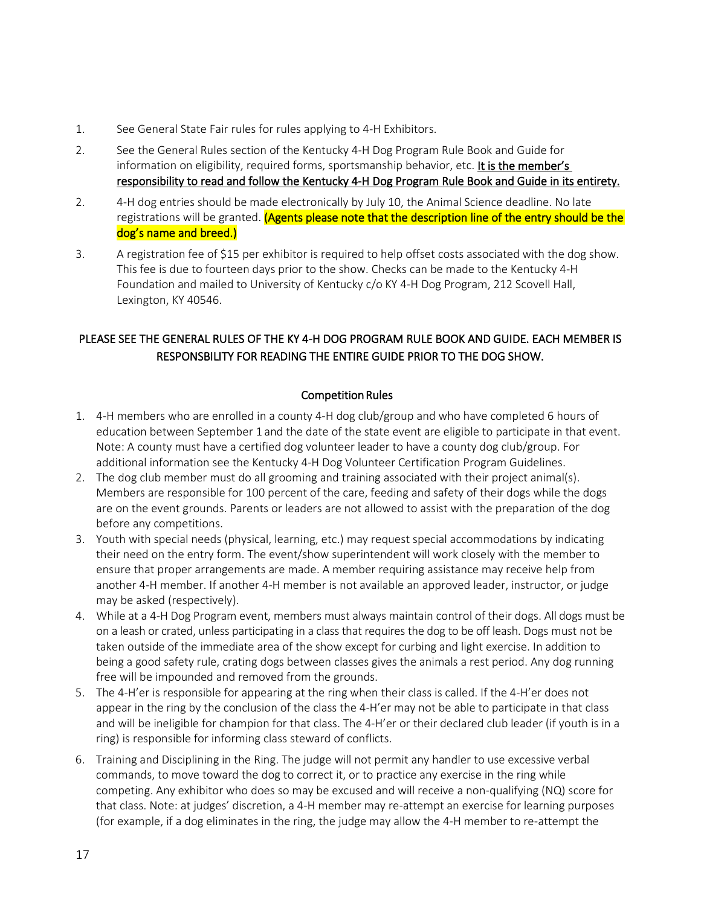- 1. See General State Fair rules for rules applying to 4-H Exhibitors.
- 2. See the General Rules section of the Kentucky 4-H Dog Program Rule Book and Guide for information on eligibility, required forms, sportsmanship behavior, etc. It is the member's responsibility to read and follow the Kentucky 4-H Dog Program Rule Book and Guide in its entirety.
- 2. 4-H dog entries should be made electronically by July 10, the Animal Science deadline. No late registrations will be granted. (Agents please note that the description line of the entry should be the dog's name and breed.)
- 3. A registration fee of \$15 per exhibitor is required to help offset costs associated with the dog show. This fee is due to fourteen days prior to the show. Checks can be made to the Kentucky 4-H Foundation and mailed to University of Kentucky c/o KY 4-H Dog Program, 212 Scovell Hall, Lexington, KY 40546.

# PLEASE SEE THE GENERAL RULES OF THE KY 4-H DOG PROGRAM RULE BOOK AND GUIDE. EACH MEMBER IS RESPONSBILITY FOR READING THE ENTIRE GUIDE PRIOR TO THE DOG SHOW.

# Competition Rules

- 1. 4-H members who are enrolled in a county 4-H dog club/group and who have completed 6 hours of education between September 1 and the date of the state event are eligible to participate in that event. Note: A county must have a certified dog volunteer leader to have a county dog club/group. For additional information see the Kentucky 4-H Dog Volunteer Certification Program Guidelines.
- 2. The dog club member must do all grooming and training associated with their project animal(s). Members are responsible for 100 percent of the care, feeding and safety of their dogs while the dogs are on the event grounds. Parents or leaders are not allowed to assist with the preparation of the dog before any competitions.
- 3. Youth with special needs (physical, learning, etc.) may request special accommodations by indicating their need on the entry form. The event/show superintendent will work closely with the member to ensure that proper arrangements are made. A member requiring assistance may receive help from another 4-H member. If another 4-H member is not available an approved leader, instructor, or judge may be asked (respectively).
- 4. While at a 4-H Dog Program event, members must always maintain control of their dogs. All dogs must be on a leash or crated, unless participating in a class that requires the dog to be off leash. Dogs must not be taken outside of the immediate area of the show except for curbing and light exercise. In addition to being a good safety rule, crating dogs between classes gives the animals a rest period. Any dog running free will be impounded and removed from the grounds.
- 5. The 4-H'er is responsible for appearing at the ring when their class is called. If the 4-H'er does not appear in the ring by the conclusion of the class the 4-H'er may not be able to participate in that class and will be ineligible for champion for that class. The 4-H'er or their declared club leader (if youth is in a ring) is responsible for informing class steward of conflicts.
- 6. Training and Disciplining in the Ring. The judge will not permit any handler to use excessive verbal commands, to move toward the dog to correct it, or to practice any exercise in the ring while competing. Any exhibitor who does so may be excused and will receive a non-qualifying (NQ) score for that class. Note: at judges' discretion, a 4-H member may re-attempt an exercise for learning purposes (for example, if a dog eliminates in the ring, the judge may allow the 4-H member to re-attempt the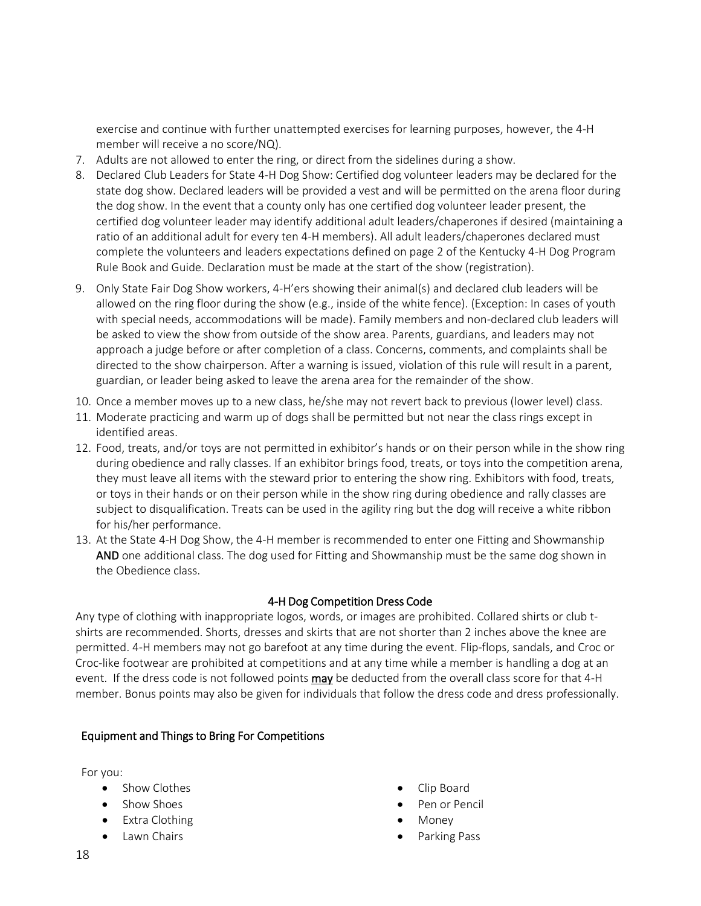exercise and continue with further unattempted exercises for learning purposes, however, the 4-H member will receive a no score/NQ).

- 7. Adults are not allowed to enter the ring, or direct from the sidelines during a show.
- 8. Declared Club Leaders for State 4-H Dog Show: Certified dog volunteer leaders may be declared for the state dog show. Declared leaders will be provided a vest and will be permitted on the arena floor during the dog show. In the event that a county only has one certified dog volunteer leader present, the certified dog volunteer leader may identify additional adult leaders/chaperones if desired (maintaining a ratio of an additional adult for every ten 4-H members). All adult leaders/chaperones declared must complete the volunteers and leaders expectations defined on page 2 of the Kentucky 4-H Dog Program Rule Book and Guide. Declaration must be made at the start of the show (registration).
- 9. Only State Fair Dog Show workers, 4-H'ers showing their animal(s) and declared club leaders will be allowed on the ring floor during the show (e.g., inside of the white fence). (Exception: In cases of youth with special needs, accommodations will be made). Family members and non-declared club leaders will be asked to view the show from outside of the show area. Parents, guardians, and leaders may not approach a judge before or after completion of a class. Concerns, comments, and complaints shall be directed to the show chairperson. After a warning is issued, violation of this rule will result in a parent, guardian, or leader being asked to leave the arena area for the remainder of the show.
- 10. Once a member moves up to a new class, he/she may not revert back to previous (lower level) class.
- 11. Moderate practicing and warm up of dogs shall be permitted but not near the class rings except in identified areas.
- 12. Food, treats, and/or toys are not permitted in exhibitor's hands or on their person while in the show ring during obedience and rally classes. If an exhibitor brings food, treats, or toys into the competition arena, they must leave all items with the steward prior to entering the show ring. Exhibitors with food, treats, or toys in their hands or on their person while in the show ring during obedience and rally classes are subject to disqualification. Treats can be used in the agility ring but the dog will receive a white ribbon for his/her performance.
- 13. At the State 4-H Dog Show, the 4-H member is recommended to enter one Fitting and Showmanship AND one additional class. The dog used for Fitting and Showmanship must be the same dog shown in the Obedience class.

# 4-H Dog Competition Dress Code

Any type of clothing with inappropriate logos, words, or images are prohibited. Collared shirts or club tshirts are recommended. Shorts, dresses and skirts that are not shorter than 2 inches above the knee are permitted. 4-H members may not go barefoot at any time during the event. Flip-flops, sandals, and Croc or Croc-like footwear are prohibited at competitions and at any time while a member is handling a dog at an event. If the dress code is not followed points may be deducted from the overall class score for that 4-H member. Bonus points may also be given for individuals that follow the dress code and dress professionally.

# Equipment and Things to Bring For Competitions

For you:

- Show Clothes
- Show Shoes
- Extra Clothing
- Lawn Chairs
- Clip Board
- Pen or Pencil
- Money
- Parking Pass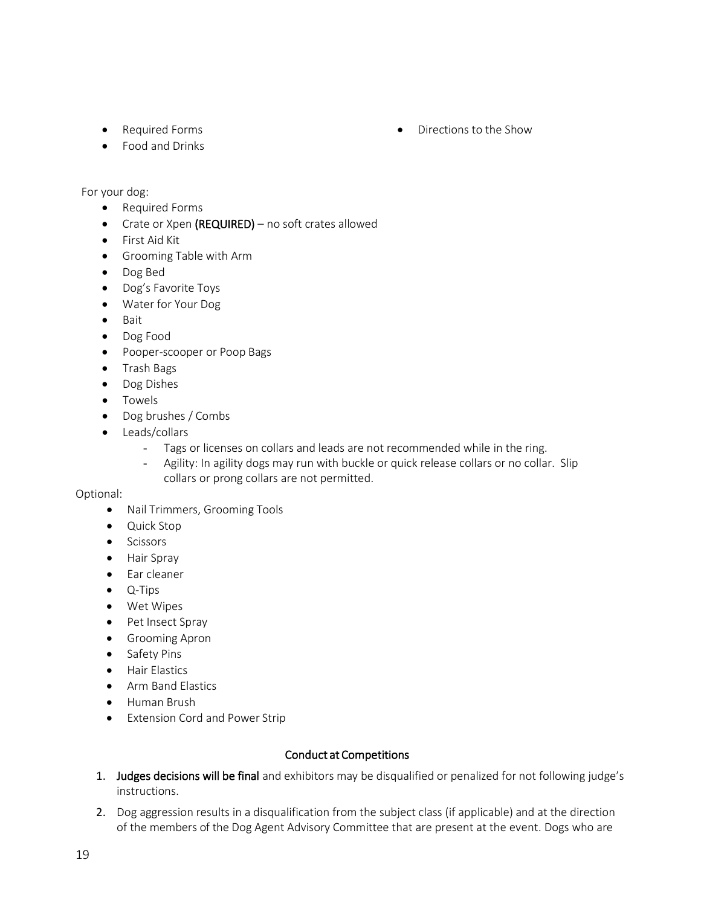- Required Forms
- Food and Drinks

For your dog:

- Required Forms
- Crate or Xpen (REQUIRED) no soft crates allowed
- First Aid Kit
- Grooming Table with Arm
- Dog Bed
- Dog's Favorite Toys
- Water for Your Dog
- Bait
- Dog Food
- Pooper-scooper or Poop Bags
- Trash Bags
- Dog Dishes
- Towels
- Dog brushes / Combs
- Leads/collars
	- Tags or licenses on collars and leads are not recommended while in the ring.
	- Agility: In agility dogs may run with buckle or quick release collars or no collar. Slip collars or prong collars are not permitted.

#### Optional:

- Nail Trimmers, Grooming Tools
- Quick Stop
- Scissors
- Hair Spray
- Ear cleaner
- Q-Tips
- Wet Wipes
- Pet Insect Spray
- Grooming Apron
- Safety Pins
- Hair Elastics
- Arm Band Elastics
- Human Brush
- Extension Cord and Power Strip

# Conduct at Competitions

- 1. Judges decisions will be final and exhibitors may be disqualified or penalized for not following judge's instructions.
- 2. Dog aggression results in a disqualification from the subject class (if applicable) and at the direction of the members of the Dog Agent Advisory Committee that are present at the event. Dogs who are

• Directions to the Show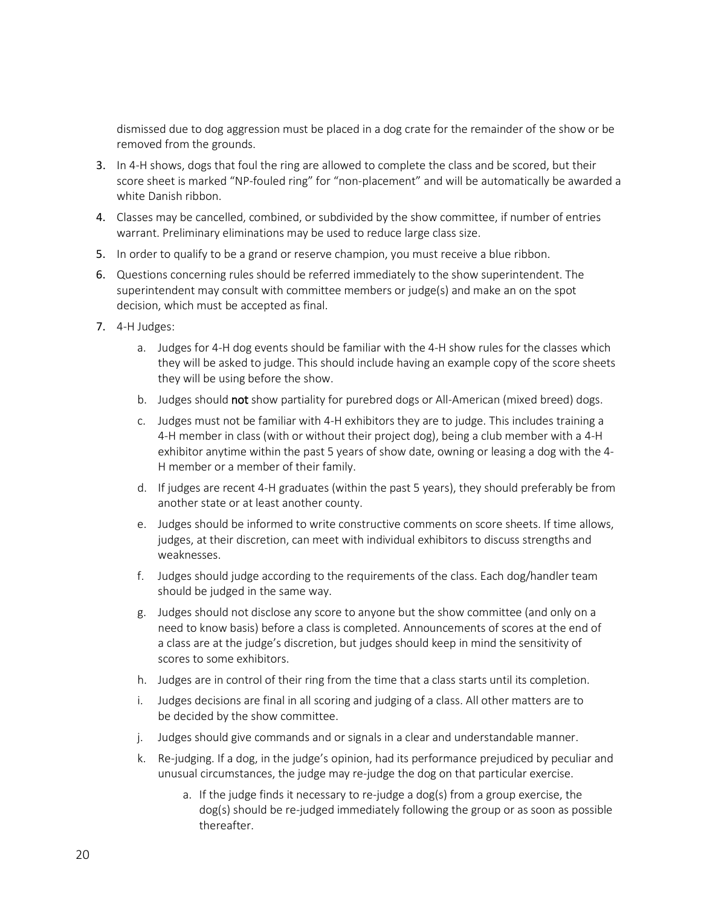dismissed due to dog aggression must be placed in a dog crate for the remainder of the show or be removed from the grounds.

- 3. In 4-H shows, dogs that foul the ring are allowed to complete the class and be scored, but their score sheet is marked "NP-fouled ring" for "non-placement" and will be automatically be awarded a white Danish ribbon.
- 4. Classes may be cancelled, combined, or subdivided by the show committee, if number of entries warrant. Preliminary eliminations may be used to reduce large class size.
- 5. In order to qualify to be a grand or reserve champion, you must receive a blue ribbon.
- 6. Questions concerning rules should be referred immediately to the show superintendent. The superintendent may consult with committee members or judge(s) and make an on the spot decision, which must be accepted as final.
- 7. 4-H Judges:
	- a. Judges for 4-H dog events should be familiar with the 4-H show rules for the classes which they will be asked to judge. This should include having an example copy of the score sheets they will be using before the show.
	- b. Judges should not show partiality for purebred dogs or All-American (mixed breed) dogs.
	- c. Judges must not be familiar with 4-H exhibitors they are to judge. This includes training a 4-H member in class (with or without their project dog), being a club member with a 4-H exhibitor anytime within the past 5 years of show date, owning or leasing a dog with the 4- H member or a member of their family.
	- d. If judges are recent 4-H graduates (within the past 5 years), they should preferably be from another state or at least another county.
	- e. Judges should be informed to write constructive comments on score sheets. If time allows, judges, at their discretion, can meet with individual exhibitors to discuss strengths and weaknesses.
	- f. Judges should judge according to the requirements of the class. Each dog/handler team should be judged in the same way.
	- g. Judges should not disclose any score to anyone but the show committee (and only on a need to know basis) before a class is completed. Announcements of scores at the end of a class are at the judge's discretion, but judges should keep in mind the sensitivity of scores to some exhibitors.
	- h. Judges are in control of their ring from the time that a class starts until its completion.
	- i. Judges decisions are final in all scoring and judging of a class. All other matters are to be decided by the show committee.
	- j. Judges should give commands and or signals in a clear and understandable manner.
	- k. Re-judging. If a dog, in the judge's opinion, had its performance prejudiced by peculiar and unusual circumstances, the judge may re-judge the dog on that particular exercise.
		- a. If the judge finds it necessary to re-judge a dog(s) from a group exercise, the dog(s) should be re-judged immediately following the group or as soon as possible thereafter.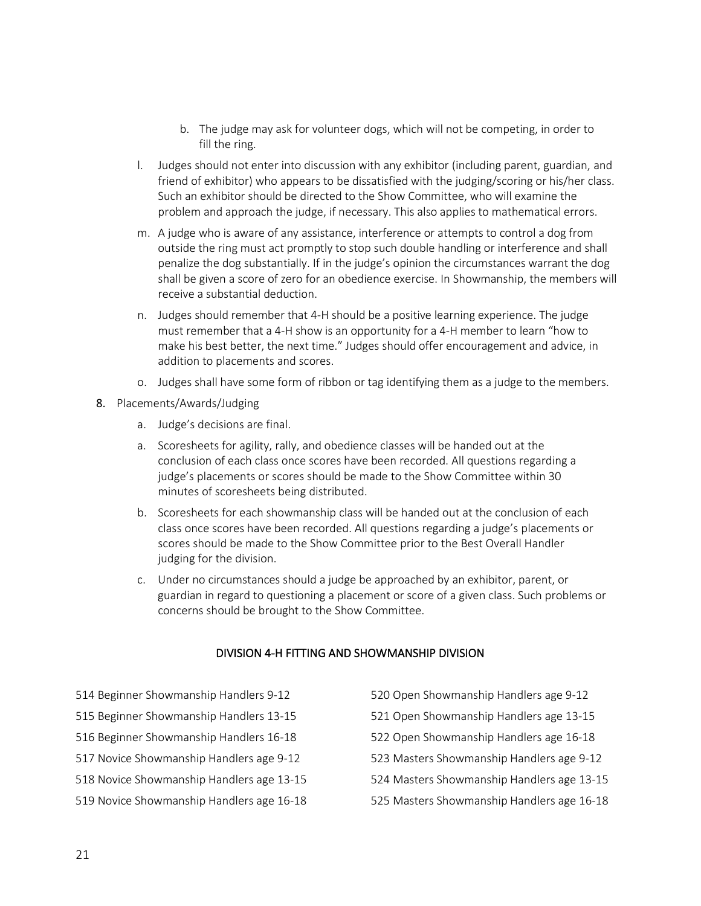- b. The judge may ask for volunteer dogs, which will not be competing, in order to fill the ring.
- l. Judges should not enter into discussion with any exhibitor (including parent, guardian, and friend of exhibitor) who appears to be dissatisfied with the judging/scoring or his/her class. Such an exhibitor should be directed to the Show Committee, who will examine the problem and approach the judge, if necessary. This also applies to mathematical errors.
- m. A judge who is aware of any assistance, interference or attempts to control a dog from outside the ring must act promptly to stop such double handling or interference and shall penalize the dog substantially. If in the judge's opinion the circumstances warrant the dog shall be given a score of zero for an obedience exercise. In Showmanship, the members will receive a substantial deduction.
- n. Judges should remember that 4-H should be a positive learning experience. The judge must remember that a 4-H show is an opportunity for a 4-H member to learn "how to make his best better, the next time." Judges should offer encouragement and advice, in addition to placements and scores.
- o. Judges shall have some form of ribbon or tag identifying them as a judge to the members.
- 8. Placements/Awards/Judging
	- a. Judge's decisions are final.
	- a. Scoresheets for agility, rally, and obedience classes will be handed out at the conclusion of each class once scores have been recorded. All questions regarding a judge's placements or scores should be made to the Show Committee within 30 minutes of scoresheets being distributed.
	- b. Scoresheets for each showmanship class will be handed out at the conclusion of each class once scores have been recorded. All questions regarding a judge's placements or scores should be made to the Show Committee prior to the Best Overall Handler judging for the division.
	- c. Under no circumstances should a judge be approached by an exhibitor, parent, or guardian in regard to questioning a placement or score of a given class. Such problems or concerns should be brought to the Show Committee.

#### DIVISION 4-H FITTING AND SHOWMANSHIP DIVISION

- 514 Beginner Showmanship Handlers 9-12
- 515 Beginner Showmanship Handlers 13-15
- 516 Beginner Showmanship Handlers 16-18
- 517 Novice Showmanship Handlers age 9-12
- 518 Novice Showmanship Handlers age 13-15
- 519 Novice Showmanship Handlers age 16-18
- 520 Open Showmanship Handlers age 9-12
- 521 Open Showmanship Handlers age 13-15
- 522 Open Showmanship Handlers age 16-18
- 523 Masters Showmanship Handlers age 9-12
- 524 Masters Showmanship Handlers age 13-15
- 525 Masters Showmanship Handlers age 16-18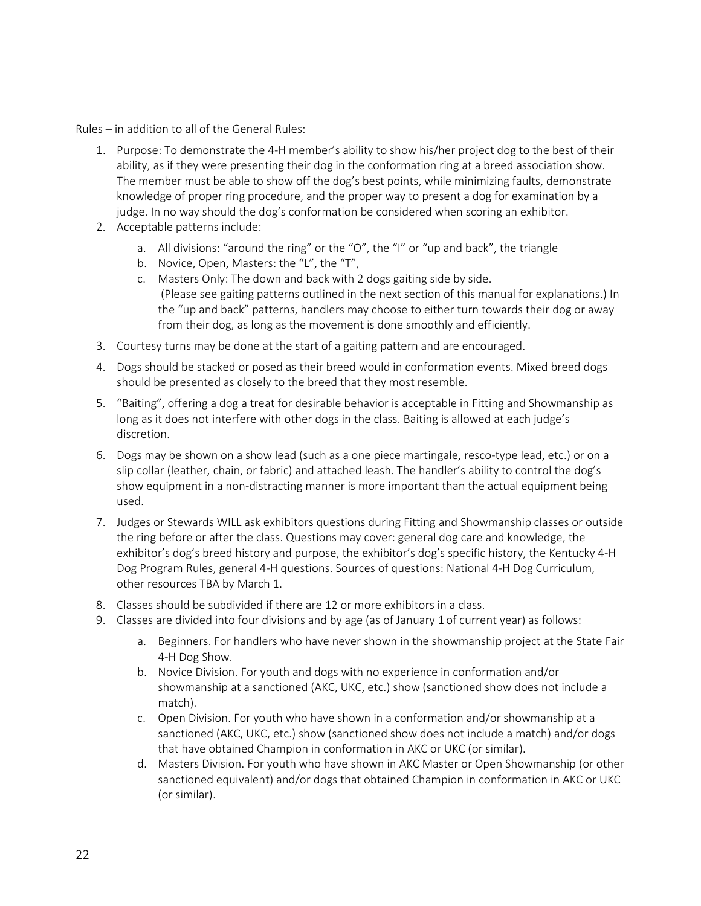Rules – in addition to all of the General Rules:

- 1. Purpose: To demonstrate the 4-H member's ability to show his/her project dog to the best of their ability, as if they were presenting their dog in the conformation ring at a breed association show. The member must be able to show off the dog's best points, while minimizing faults, demonstrate knowledge of proper ring procedure, and the proper way to present a dog for examination by a judge. In no way should the dog's conformation be considered when scoring an exhibitor.
- 2. Acceptable patterns include:
	- a. All divisions: "around the ring" or the "O", the "I" or "up and back", the triangle
	- b. Novice, Open, Masters: the "L", the "T",
	- c. Masters Only: The down and back with 2 dogs gaiting side by side. (Please see gaiting patterns outlined in the next section of this manual for explanations.) In the "up and back" patterns, handlers may choose to either turn towards their dog or away from their dog, as long as the movement is done smoothly and efficiently.
- 3. Courtesy turns may be done at the start of a gaiting pattern and are encouraged.
- 4. Dogs should be stacked or posed as their breed would in conformation events. Mixed breed dogs should be presented as closely to the breed that they most resemble.
- 5. "Baiting", offering a dog a treat for desirable behavior is acceptable in Fitting and Showmanship as long as it does not interfere with other dogs in the class. Baiting is allowed at each judge's discretion.
- 6. Dogs may be shown on a show lead (such as a one piece martingale, resco-type lead, etc.) or on a slip collar (leather, chain, or fabric) and attached leash. The handler's ability to control the dog's show equipment in a non-distracting manner is more important than the actual equipment being used.
- 7. Judges or Stewards WILL ask exhibitors questions during Fitting and Showmanship classes or outside the ring before or after the class. Questions may cover: general dog care and knowledge, the exhibitor's dog's breed history and purpose, the exhibitor's dog's specific history, the Kentucky 4-H Dog Program Rules, general 4-H questions. Sources of questions: National 4-H Dog Curriculum, other resources TBA by March 1.
- 8. Classes should be subdivided if there are 12 or more exhibitors in a class.
- 9. Classes are divided into four divisions and by age (as of January 1 of current year) as follows:
	- a. Beginners. For handlers who have never shown in the showmanship project at the State Fair 4-H Dog Show.
	- b. Novice Division. For youth and dogs with no experience in conformation and/or showmanship at a sanctioned (AKC, UKC, etc.) show (sanctioned show does not include a match).
	- c. Open Division. For youth who have shown in a conformation and/or showmanship at a sanctioned (AKC, UKC, etc.) show (sanctioned show does not include a match) and/or dogs that have obtained Champion in conformation in AKC or UKC (or similar).
	- d. Masters Division. For youth who have shown in AKC Master or Open Showmanship (or other sanctioned equivalent) and/or dogs that obtained Champion in conformation in AKC or UKC (or similar).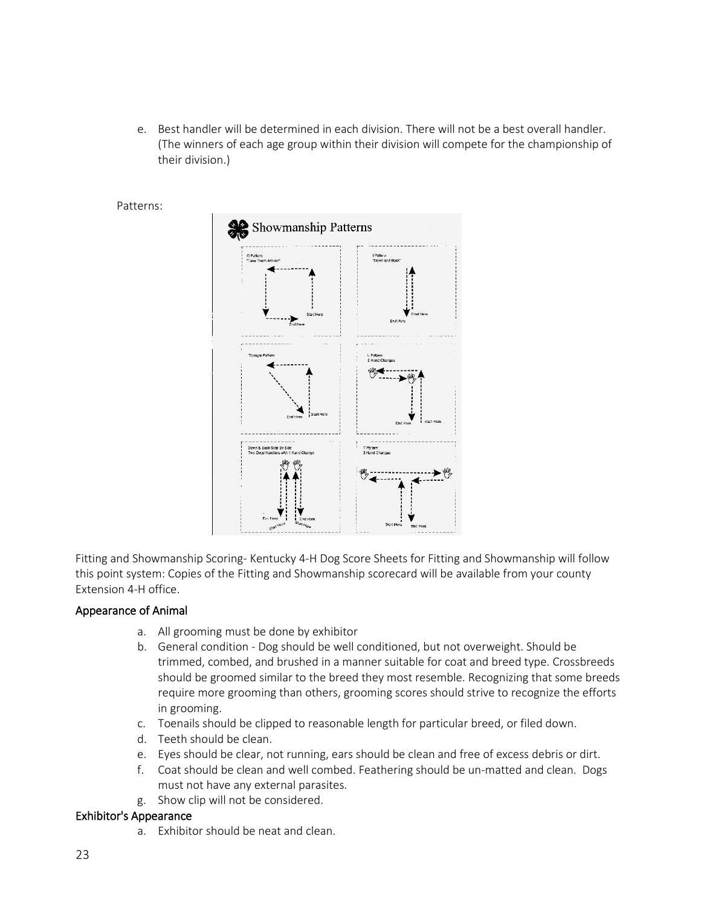e. Best handler will be determined in each division. There will not be a best overall handler. (The winners of each age group within their division will compete for the championship of their division.)

#### Patterns:



Fitting and Showmanship Scoring- Kentucky 4-H Dog Score Sheets for Fitting and Showmanship will follow this point system: Copies of the Fitting and Showmanship scorecard will be available from your county Extension 4-H office.

#### Appearance of Animal

- a. All grooming must be done by exhibitor
- b. General condition Dog should be well conditioned, but not overweight. Should be trimmed, combed, and brushed in a manner suitable for coat and breed type. Crossbreeds should be groomed similar to the breed they most resemble. Recognizing that some breeds require more grooming than others, grooming scores should strive to recognize the efforts in grooming.
- c. Toenails should be clipped to reasonable length for particular breed, or filed down.
- d. Teeth should be clean.
- e. Eyes should be clear, not running, ears should be clean and free of excess debris or dirt.
- f. Coat should be clean and well combed. Feathering should be un-matted and clean. Dogs must not have any external parasites.
- g. Show clip will not be considered.

#### Exhibitor's Appearance

a. Exhibitor should be neat and clean.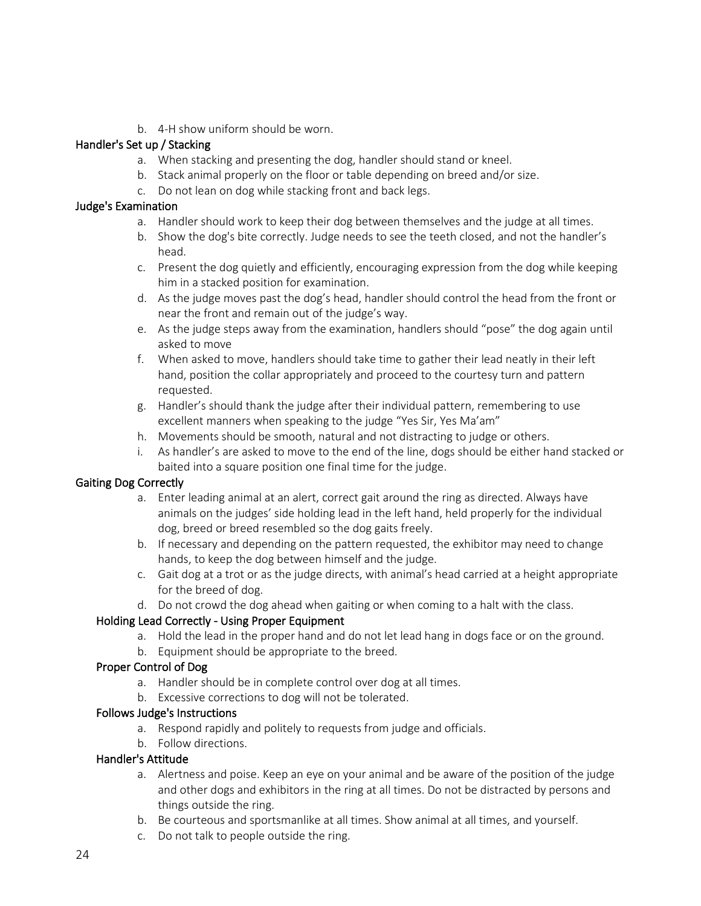b. 4-H show uniform should be worn.

# Handler's Set up / Stacking

- a. When stacking and presenting the dog, handler should stand or kneel.
- b. Stack animal properly on the floor or table depending on breed and/or size.
- c. Do not lean on dog while stacking front and back legs.

#### Judge's Examination

- a. Handler should work to keep their dog between themselves and the judge at all times.
- b. Show the dog's bite correctly. Judge needs to see the teeth closed, and not the handler's head.
- c. Present the dog quietly and efficiently, encouraging expression from the dog while keeping him in a stacked position for examination.
- d. As the judge moves past the dog's head, handler should control the head from the front or near the front and remain out of the judge's way.
- e. As the judge steps away from the examination, handlers should "pose" the dog again until asked to move
- f. When asked to move, handlers should take time to gather their lead neatly in their left hand, position the collar appropriately and proceed to the courtesy turn and pattern requested.
- g. Handler's should thank the judge after their individual pattern, remembering to use excellent manners when speaking to the judge "Yes Sir, Yes Ma'am"
- h. Movements should be smooth, natural and not distracting to judge or others.
- i. As handler's are asked to move to the end of the line, dogs should be either hand stacked or baited into a square position one final time for the judge.

# Gaiting Dog Correctly

- a. Enter leading animal at an alert, correct gait around the ring as directed. Always have animals on the judges' side holding lead in the left hand, held properly for the individual dog, breed or breed resembled so the dog gaits freely.
- b. If necessary and depending on the pattern requested, the exhibitor may need to change hands, to keep the dog between himself and the judge.
- c. Gait dog at a trot or as the judge directs, with animal's head carried at a height appropriate for the breed of dog.
- d. Do not crowd the dog ahead when gaiting or when coming to a halt with the class.

# Holding Lead Correctly - Using Proper Equipment

- a. Hold the lead in the proper hand and do not let lead hang in dogs face or on the ground.
- b. Equipment should be appropriate to the breed.

# Proper Control of Dog

- a. Handler should be in complete control over dog at all times.
- b. Excessive corrections to dog will not be tolerated.

# Follows Judge's Instructions

- a. Respond rapidly and politely to requests from judge and officials.
- b. Follow directions.

#### Handler's Attitude

- a. Alertness and poise. Keep an eye on your animal and be aware of the position of the judge and other dogs and exhibitors in the ring at all times. Do not be distracted by persons and things outside the ring.
- b. Be courteous and sportsmanlike at all times. Show animal at all times, and yourself.
- c. Do not talk to people outside the ring.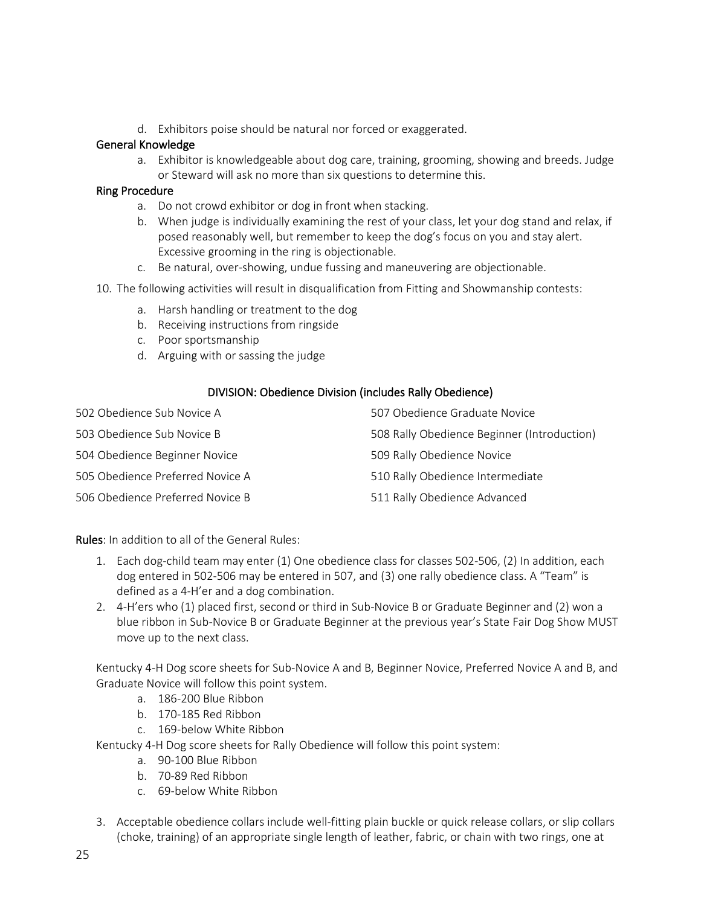d. Exhibitors poise should be natural nor forced or exaggerated.

# General Knowledge

a. Exhibitor is knowledgeable about dog care, training, grooming, showing and breeds. Judge or Steward will ask no more than six questions to determine this.

#### Ring Procedure

- a. Do not crowd exhibitor or dog in front when stacking.
- b. When judge is individually examining the rest of your class, let your dog stand and relax, if posed reasonably well, but remember to keep the dog's focus on you and stay alert. Excessive grooming in the ring is objectionable.
- c. Be natural, over-showing, undue fussing and maneuvering are objectionable.
- 10. The following activities will result in disqualification from Fitting and Showmanship contests:
	- a. Harsh handling or treatment to the dog
	- b. Receiving instructions from ringside
	- c. Poor sportsmanship
	- d. Arguing with or sassing the judge

#### DIVISION: Obedience Division (includes Rally Obedience)

| 502 Obedience Sub Novice A       | 507 Obedience Graduate Novice               |
|----------------------------------|---------------------------------------------|
| 503 Obedience Sub Novice B       | 508 Rally Obedience Beginner (Introduction) |
| 504 Obedience Beginner Novice    | 509 Rally Obedience Novice                  |
| 505 Obedience Preferred Novice A | 510 Rally Obedience Intermediate            |
| 506 Obedience Preferred Novice B | 511 Rally Obedience Advanced                |

Rules: In addition to all of the General Rules:

- 1. Each dog-child team may enter (1) One obedience class for classes 502-506, (2) In addition, each dog entered in 502-506 may be entered in 507, and (3) one rally obedience class. A "Team" is defined as a 4-H'er and a dog combination.
- 2. 4-H'ers who (1) placed first, second or third in Sub-Novice B or Graduate Beginner and (2) won a blue ribbon in Sub-Novice B or Graduate Beginner at the previous year's State Fair Dog Show MUST move up to the next class.

Kentucky 4-H Dog score sheets for Sub-Novice A and B, Beginner Novice, Preferred Novice A and B, and Graduate Novice will follow this point system.

- a. 186-200 Blue Ribbon
- b. 170-185 Red Ribbon
- c. 169-below White Ribbon

Kentucky 4-H Dog score sheets for Rally Obedience will follow this point system:

- a. 90-100 Blue Ribbon
- b. 70-89 Red Ribbon
- c. 69-below White Ribbon
- 3. Acceptable obedience collars include well-fitting plain buckle or quick release collars, or slip collars (choke, training) of an appropriate single length of leather, fabric, or chain with two rings, one at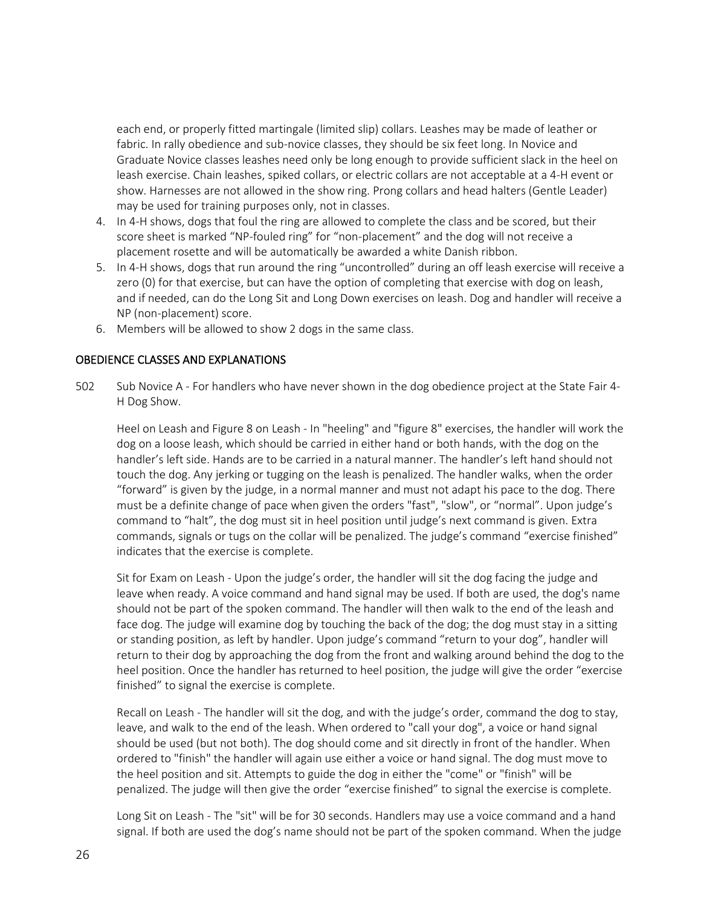each end, or properly fitted martingale (limited slip) collars. Leashes may be made of leather or fabric. In rally obedience and sub-novice classes, they should be six feet long. In Novice and Graduate Novice classes leashes need only be long enough to provide sufficient slack in the heel on leash exercise. Chain leashes, spiked collars, or electric collars are not acceptable at a 4-H event or show. Harnesses are not allowed in the show ring. Prong collars and head halters (Gentle Leader) may be used for training purposes only, not in classes.

- 4. In 4-H shows, dogs that foul the ring are allowed to complete the class and be scored, but their score sheet is marked "NP-fouled ring" for "non-placement" and the dog will not receive a placement rosette and will be automatically be awarded a white Danish ribbon.
- 5. In 4-H shows, dogs that run around the ring "uncontrolled" during an off leash exercise will receive a zero (0) for that exercise, but can have the option of completing that exercise with dog on leash, and if needed, can do the Long Sit and Long Down exercises on leash. Dog and handler will receive a NP (non-placement) score.
- 6. Members will be allowed to show 2 dogs in the same class.

#### OBEDIENCE CLASSES AND EXPLANATIONS

502 Sub Novice A - For handlers who have never shown in the dog obedience project at the State Fair 4- H Dog Show.

Heel on Leash and Figure 8 on Leash - In "heeling" and "figure 8" exercises, the handler will work the dog on a loose leash, which should be carried in either hand or both hands, with the dog on the handler's left side. Hands are to be carried in a natural manner. The handler's left hand should not touch the dog. Any jerking or tugging on the leash is penalized. The handler walks, when the order "forward" is given by the judge, in a normal manner and must not adapt his pace to the dog. There must be a definite change of pace when given the orders "fast", "slow", or "normal". Upon judge's command to "halt", the dog must sit in heel position until judge's next command is given. Extra commands, signals or tugs on the collar will be penalized. The judge's command "exercise finished" indicates that the exercise is complete.

Sit for Exam on Leash - Upon the judge's order, the handler will sit the dog facing the judge and leave when ready. A voice command and hand signal may be used. If both are used, the dog's name should not be part of the spoken command. The handler will then walk to the end of the leash and face dog. The judge will examine dog by touching the back of the dog; the dog must stay in a sitting or standing position, as left by handler. Upon judge's command "return to your dog", handler will return to their dog by approaching the dog from the front and walking around behind the dog to the heel position. Once the handler has returned to heel position, the judge will give the order "exercise finished" to signal the exercise is complete.

Recall on Leash - The handler will sit the dog, and with the judge's order, command the dog to stay, leave, and walk to the end of the leash. When ordered to "call your dog", a voice or hand signal should be used (but not both). The dog should come and sit directly in front of the handler. When ordered to "finish" the handler will again use either a voice or hand signal. The dog must move to the heel position and sit. Attempts to guide the dog in either the "come" or "finish" will be penalized. The judge will then give the order "exercise finished" to signal the exercise is complete.

Long Sit on Leash - The "sit" will be for 30 seconds. Handlers may use a voice command and a hand signal. If both are used the dog's name should not be part of the spoken command. When the judge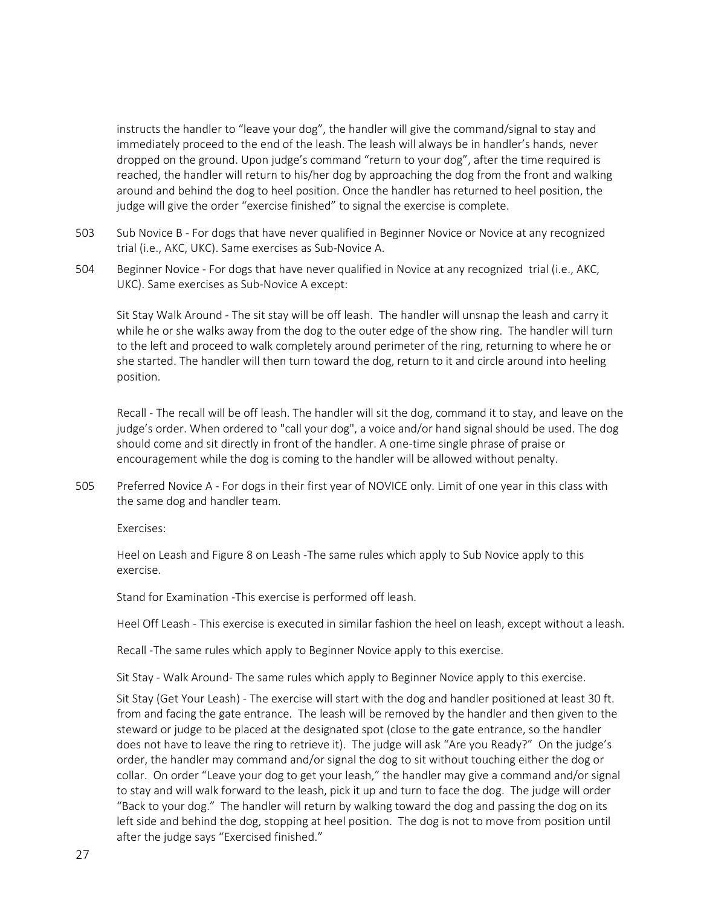instructs the handler to "leave your dog", the handler will give the command/signal to stay and immediately proceed to the end of the leash. The leash will always be in handler's hands, never dropped on the ground. Upon judge's command "return to your dog", after the time required is reached, the handler will return to his/her dog by approaching the dog from the front and walking around and behind the dog to heel position. Once the handler has returned to heel position, the judge will give the order "exercise finished" to signal the exercise is complete.

- 503 Sub Novice B For dogs that have never qualified in Beginner Novice or Novice at any recognized trial (i.e., AKC, UKC). Same exercises as Sub-Novice A.
- 504 Beginner Novice For dogs that have never qualified in Novice at any recognized trial (i.e., AKC, UKC). Same exercises as Sub-Novice A except:

Sit Stay Walk Around - The sit stay will be off leash. The handler will unsnap the leash and carry it while he or she walks away from the dog to the outer edge of the show ring. The handler will turn to the left and proceed to walk completely around perimeter of the ring, returning to where he or she started. The handler will then turn toward the dog, return to it and circle around into heeling position.

Recall - The recall will be off leash. The handler will sit the dog, command it to stay, and leave on the judge's order. When ordered to "call your dog", a voice and/or hand signal should be used. The dog should come and sit directly in front of the handler. A one-time single phrase of praise or encouragement while the dog is coming to the handler will be allowed without penalty.

505 Preferred Novice A - For dogs in their first year of NOVICE only. Limit of one year in this class with the same dog and handler team.

Exercises:

Heel on Leash and Figure 8 on Leash -The same rules which apply to Sub Novice apply to this exercise.

Stand for Examination -This exercise is performed off leash.

Heel Off Leash - This exercise is executed in similar fashion the heel on leash, except without a leash.

Recall -The same rules which apply to Beginner Novice apply to this exercise.

Sit Stay - Walk Around- The same rules which apply to Beginner Novice apply to this exercise.

Sit Stay (Get Your Leash) - The exercise will start with the dog and handler positioned at least 30 ft. from and facing the gate entrance. The leash will be removed by the handler and then given to the steward or judge to be placed at the designated spot (close to the gate entrance, so the handler does not have to leave the ring to retrieve it). The judge will ask "Are you Ready?" On the judge's order, the handler may command and/or signal the dog to sit without touching either the dog or collar. On order "Leave your dog to get your leash," the handler may give a command and/or signal to stay and will walk forward to the leash, pick it up and turn to face the dog. The judge will order "Back to your dog." The handler will return by walking toward the dog and passing the dog on its left side and behind the dog, stopping at heel position. The dog is not to move from position until after the judge says "Exercised finished."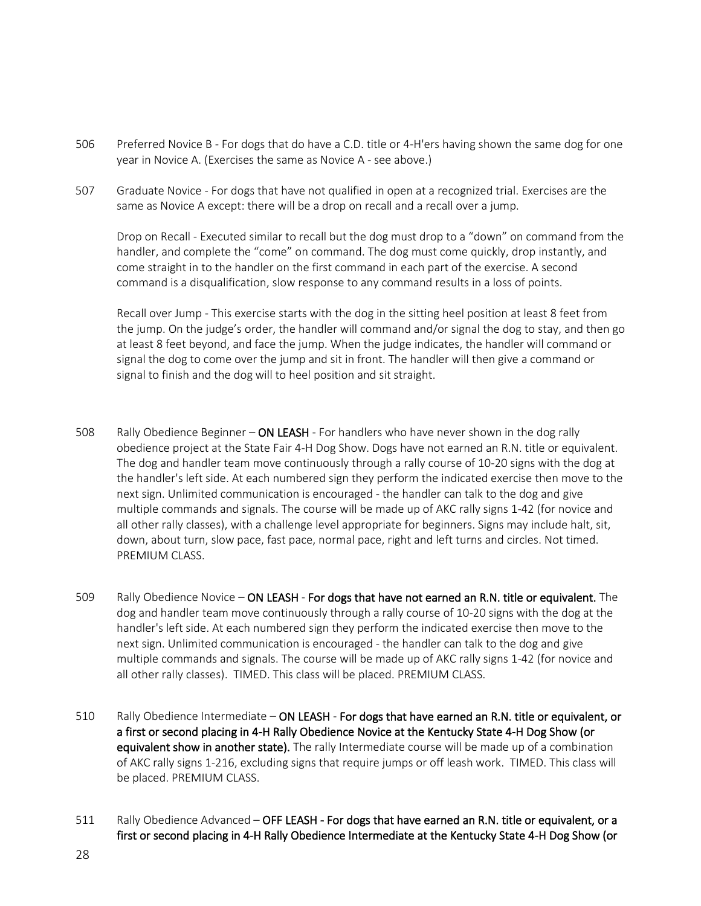- 506 Preferred Novice B For dogs that do have a C.D. title or 4-H'ers having shown the same dog for one year in Novice A. (Exercises the same as Novice A - see above.)
- 507 Graduate Novice For dogs that have not qualified in open at a recognized trial. Exercises are the same as Novice A except: there will be a drop on recall and a recall over a jump.

Drop on Recall - Executed similar to recall but the dog must drop to a "down" on command from the handler, and complete the "come" on command. The dog must come quickly, drop instantly, and come straight in to the handler on the first command in each part of the exercise. A second command is a disqualification, slow response to any command results in a loss of points.

Recall over Jump - This exercise starts with the dog in the sitting heel position at least 8 feet from the jump. On the judge's order, the handler will command and/or signal the dog to stay, and then go at least 8 feet beyond, and face the jump. When the judge indicates, the handler will command or signal the dog to come over the jump and sit in front. The handler will then give a command or signal to finish and the dog will to heel position and sit straight.

- 508 Rally Obedience Beginner ON LEASH For handlers who have never shown in the dog rally obedience project at the State Fair 4-H Dog Show. Dogs have not earned an R.N. title or equivalent. The dog and handler team move continuously through a rally course of 10-20 signs with the dog at the handler's left side. At each numbered sign they perform the indicated exercise then move to the next sign. Unlimited communication is encouraged - the handler can talk to the dog and give multiple commands and signals. The course will be made up of AKC rally signs 1-42 (for novice and all other rally classes), with a challenge level appropriate for beginners. Signs may include halt, sit, down, about turn, slow pace, fast pace, normal pace, right and left turns and circles. Not timed. PREMIUM CLASS.
- 509 Rally Obedience Novice ON LEASH For dogs that have not earned an R.N. title or equivalent. The dog and handler team move continuously through a rally course of 10-20 signs with the dog at the handler's left side. At each numbered sign they perform the indicated exercise then move to the next sign. Unlimited communication is encouraged - the handler can talk to the dog and give multiple commands and signals. The course will be made up of AKC rally signs 1-42 (for novice and all other rally classes). TIMED. This class will be placed. PREMIUM CLASS.
- 510 Rally Obedience Intermediate ON LEASH For dogs that have earned an R.N. title or equivalent, or a first or second placing in 4-H Rally Obedience Novice at the Kentucky State 4-H Dog Show (or equivalent show in another state). The rally Intermediate course will be made up of a combination of AKC rally signs 1-216, excluding signs that require jumps or off leash work. TIMED. This class will be placed. PREMIUM CLASS.
- 511 Rally Obedience Advanced OFF LEASH For dogs that have earned an R.N. title or equivalent, or a first or second placing in 4-H Rally Obedience Intermediate at the Kentucky State 4-H Dog Show (or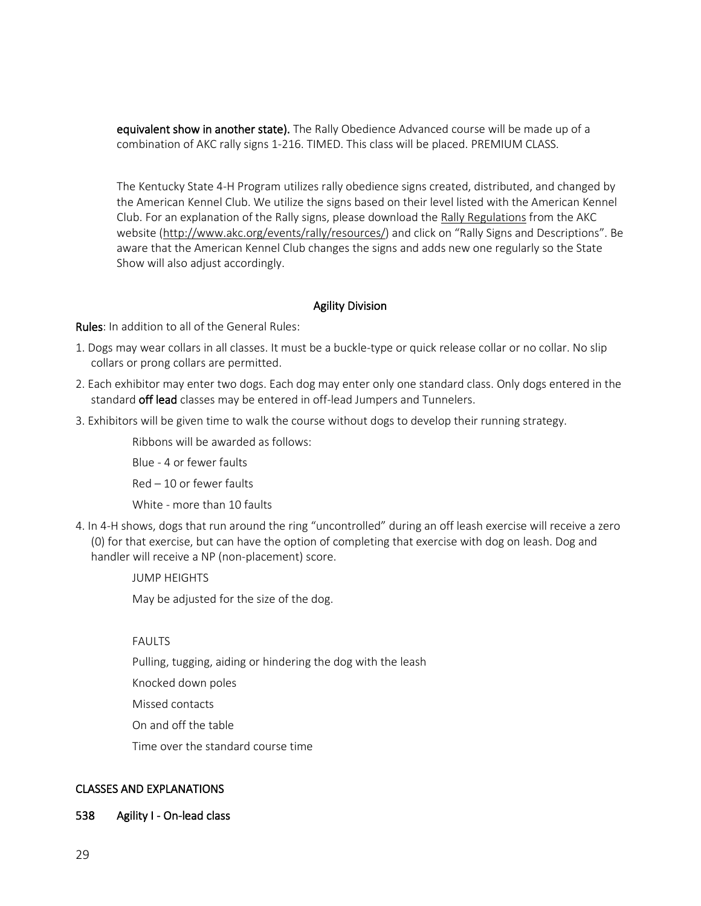equivalent show in another state). The Rally Obedience Advanced course will be made up of a combination of AKC rally signs 1-216. TIMED. This class will be placed. PREMIUM CLASS.

The Kentucky State 4-H Program utilizes rally obedience signs created, distributed, and changed by the American Kennel Club. We utilize the signs based on their level listed with the American Kennel Club. For an explanation of the Rally signs, please download the [Rally Regulations](http://s3-us-west-2.amazonaws.com/americankennelclub/Rally/AKC700_ROR001_1114_WEB.pdf) from the AKC website [\(http://www.akc.org/events/rally/resources/\)](http://www.akc.org/events/rally/resources/) and click on "Rally Signs and Descriptions". Be aware that the American Kennel Club changes the signs and adds new one regularly so the State Show will also adjust accordingly.

#### Agility Division

Rules: In addition to all of the General Rules:

- 1. Dogs may wear collars in all classes. It must be a buckle-type or quick release collar or no collar. No slip collars or prong collars are permitted.
- 2. Each exhibitor may enter two dogs. Each dog may enter only one standard class. Only dogs entered in the standard off lead classes may be entered in off-lead Jumpers and Tunnelers.
- 3. Exhibitors will be given time to walk the course without dogs to develop their running strategy.

Ribbons will be awarded as follows:

Blue - 4 or fewer faults

Red – 10 or fewer faults

White - more than 10 faults

4. In 4-H shows, dogs that run around the ring "uncontrolled" during an off leash exercise will receive a zero (0) for that exercise, but can have the option of completing that exercise with dog on leash. Dog and handler will receive a NP (non-placement) score.

JUMP HEIGHTS

May be adjusted for the size of the dog.

FAULTS

Pulling, tugging, aiding or hindering the dog with the leash

Knocked down poles

Missed contacts

On and off the table

Time over the standard course time

#### CLASSES AND EXPLANATIONS

#### 538 Agility I - On-lead class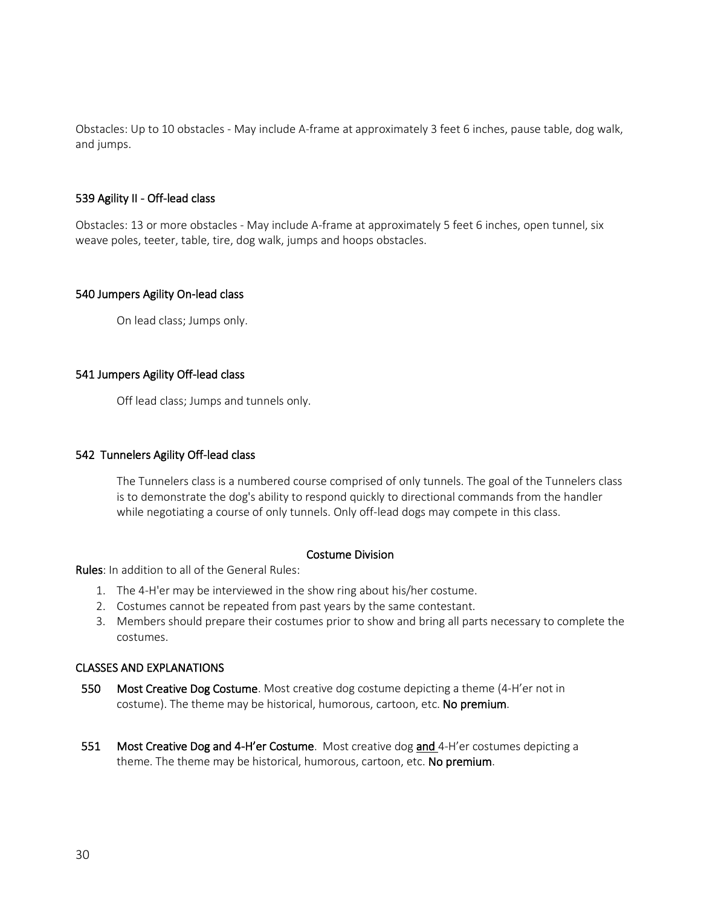Obstacles: Up to 10 obstacles - May include A-frame at approximately 3 feet 6 inches, pause table, dog walk, and jumps.

#### 539 Agility II - Off-lead class

Obstacles: 13 or more obstacles - May include A-frame at approximately 5 feet 6 inches, open tunnel, six weave poles, teeter, table, tire, dog walk, jumps and hoops obstacles.

#### 540 Jumpers Agility On-lead class

On lead class; Jumps only.

#### 541 Jumpers Agility Off-lead class

Off lead class; Jumps and tunnels only.

#### 542 Tunnelers Agility Off-lead class

The Tunnelers class is a numbered course comprised of only tunnels. The goal of the Tunnelers class is to demonstrate the dog's ability to respond quickly to directional commands from the handler while negotiating a course of only tunnels. Only off-lead dogs may compete in this class.

#### Costume Division

Rules: In addition to all of the General Rules:

- 1. The 4-H'er may be interviewed in the show ring about his/her costume.
- 2. Costumes cannot be repeated from past years by the same contestant.
- 3. Members should prepare their costumes prior to show and bring all parts necessary to complete the costumes.

#### CLASSES AND EXPLANATIONS

- 550 Most Creative Dog Costume. Most creative dog costume depicting a theme (4-H'er not in costume). The theme may be historical, humorous, cartoon, etc. No premium.
- 551 Most Creative Dog and 4-H'er Costume. Most creative dog and 4-H'er costumes depicting a theme. The theme may be historical, humorous, cartoon, etc. No premium.